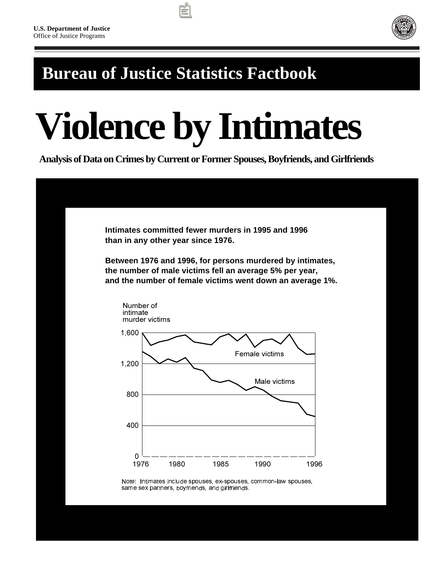

## **Bureau of Justice Statistics Factbook**

# **Violence by Intimates**

 **Analysis of Data on Crimes by Current or Former Spouses, Boyfriends, and Girlfriends**

| Intimates committed fewer murders in 1995 and 1996<br>than in any other year since 1976.                                                                                          |      |      |                |      |
|-----------------------------------------------------------------------------------------------------------------------------------------------------------------------------------|------|------|----------------|------|
| Between 1976 and 1996, for persons murdered by intimates,<br>the number of male victims fell an average 5% per year,<br>and the number of female victims went down an average 1%. |      |      |                |      |
| Number of<br>intimate<br>murder victims                                                                                                                                           |      |      |                |      |
| 1,600                                                                                                                                                                             |      |      | Female victims |      |
| 1,200                                                                                                                                                                             |      |      | Male victims   |      |
| 800                                                                                                                                                                               |      |      |                |      |
| 400                                                                                                                                                                               |      |      |                |      |
| 0<br>1976                                                                                                                                                                         | 1980 | 1985 | 1990           | 1996 |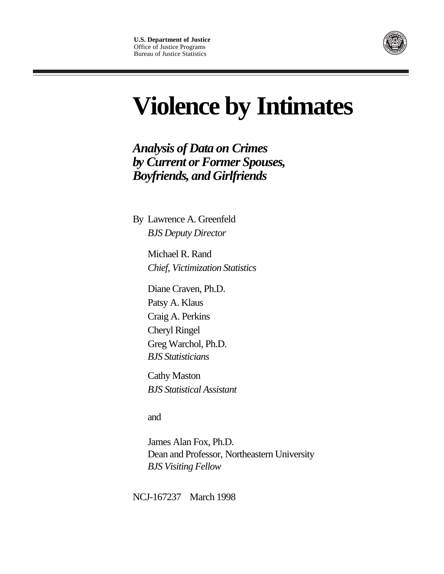

## **Violence by Intimates**

*Analysis of Data on Crimes by Current or Former Spouses, Boyfriends, and Girlfriends*

By Lawrence A. Greenfeld *BJS Deputy Director*

> Michael R. Rand *Chief, Victimization Statistics*

Diane Craven, Ph.D. Patsy A. Klaus Craig A. Perkins Cheryl Ringel Greg Warchol, Ph.D. *BJS Statisticians*

Cathy Maston *BJS Statistical Assistant*

and

James Alan Fox, Ph.D. Dean and Professor, Northeastern University *BJS Visiting Fellow*

NCJ-167237 March 1998 **171**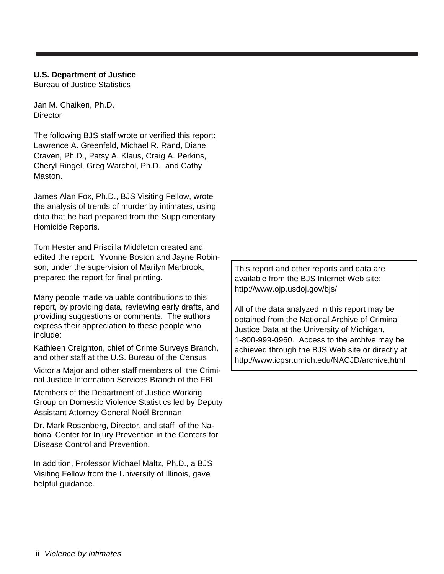#### **U.S. Department of Justice**

Bureau of Justice Statistics

Jan M. Chaiken, Ph.D. **Director** 

The following BJS staff wrote or verified this report: Lawrence A. Greenfeld, Michael R. Rand, Diane Craven, Ph.D., Patsy A. Klaus, Craig A. Perkins, Cheryl Ringel, Greg Warchol, Ph.D., and Cathy Maston.

James Alan Fox, Ph.D., BJS Visiting Fellow, wrote the analysis of trends of murder by intimates, using data that he had prepared from the Supplementary Homicide Reports.

Tom Hester and Priscilla Middleton created and edited the report. Yvonne Boston and Jayne Robinson, under the supervision of Marilyn Marbrook, prepared the report for final printing.

Many people made valuable contributions to this report, by providing data, reviewing early drafts, and providing suggestions or comments. The authors express their appreciation to these people who include:

Kathleen Creighton, chief of Crime Surveys Branch, and other staff at the U.S. Bureau of the Census

Victoria Major and other staff members of the Criminal Justice Information Services Branch of the FBI

Members of the Department of Justice Working Group on Domestic Violence Statistics led by Deputy Assistant Attorney General Noël Brennan

Dr. Mark Rosenberg, Director, and staff of the National Center for Injury Prevention in the Centers for Disease Control and Prevention.

In addition, Professor Michael Maltz, Ph.D., a BJS Visiting Fellow from the University of Illinois, gave helpful guidance.

This report and other reports and data are available from the BJS Internet Web site: http://www.ojp.usdoj.gov/bjs/

All of the data analyzed in this report may be obtained from the National Archive of Criminal Justice Data at the University of Michigan, 1-800-999-0960. Access to the archive may be achieved through the BJS Web site or directly at http://www.icpsr.umich.edu/NACJD/archive.html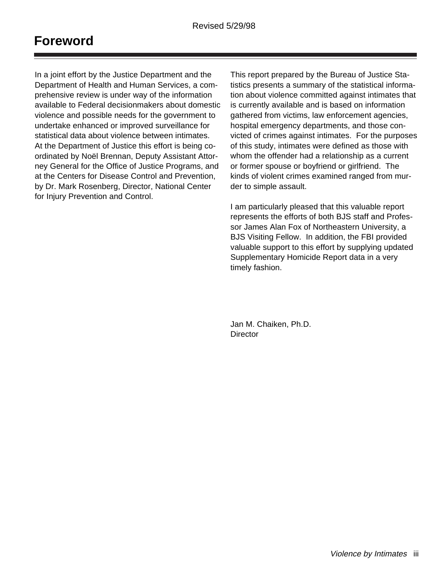## **Foreword**

In a joint effort by the Justice Department and the Department of Health and Human Services, a comprehensive review is under way of the information available to Federal decisionmakers about domestic violence and possible needs for the government to undertake enhanced or improved surveillance for statistical data about violence between intimates. At the Department of Justice this effort is being coordinated by Noël Brennan, Deputy Assistant Attorney General for the Office of Justice Programs, and at the Centers for Disease Control and Prevention, by Dr. Mark Rosenberg, Director, National Center for Injury Prevention and Control.

This report prepared by the Bureau of Justice Statistics presents a summary of the statistical information about violence committed against intimates that is currently available and is based on information gathered from victims, law enforcement agencies, hospital emergency departments, and those convicted of crimes against intimates. For the purposes of this study, intimates were defined as those with whom the offender had a relationship as a current or former spouse or boyfriend or girlfriend. The kinds of violent crimes examined ranged from murder to simple assault.

I am particularly pleased that this valuable report represents the efforts of both BJS staff and Professor James Alan Fox of Northeastern University, a BJS Visiting Fellow. In addition, the FBI provided valuable support to this effort by supplying updated Supplementary Homicide Report data in a very timely fashion.

Jan M. Chaiken, Ph.D. **Director**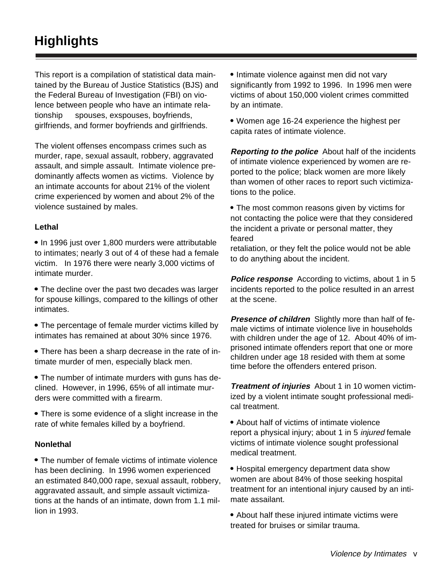This report is a compilation of statistical data maintained by the Bureau of Justice Statistics (BJS) and the Federal Bureau of Investigation (FBI) on violence between people who have an intimate relationship - spouses, exspouses, boyfriends, girlfriends, and former boyfriends and girlfriends.

The violent offenses encompass crimes such as murder, rape, sexual assault, robbery, aggravated assault, and simple assault. Intimate violence predominantly affects women as victims. Violence by an intimate accounts for about 21% of the violent crime experienced by women and about 2% of the violence sustained by males.

#### **Lethal**

• In 1996 just over 1,800 murders were attributable to intimates; nearly 3 out of 4 of these had a female victim. In 1976 there were nearly 3,000 victims of intimate murder.

• The decline over the past two decades was larger for spouse killings, compared to the killings of other intimates.

- The percentage of female murder victims killed by intimates has remained at about 30% since 1976.
- There has been a sharp decrease in the rate of intimate murder of men, especially black men.

• The number of intimate murders with guns has declined. However, in 1996, 65% of all intimate murders were committed with a firearm.

 There is some evidence of a slight increase in the rate of white females killed by a boyfriend.

#### **Nonlethal**

• The number of female victims of intimate violence has been declining. In 1996 women experienced an estimated 840,000 rape, sexual assault, robbery, aggravated assault, and simple assault victimizations at the hands of an intimate, down from 1.1 million in 1993.

• Intimate violence against men did not vary significantly from 1992 to 1996. In 1996 men were victims of about 150,000 violent crimes committed by an intimate.

 Women age 16-24 experience the highest per capita rates of intimate violence.

**Reporting to the police** About half of the incidents of intimate violence experienced by women are reported to the police; black women are more likely than women of other races to report such victimizations to the police.

 The most common reasons given by victims for not contacting the police were that they considered the incident a private or personal matter, they feared

retaliation, or they felt the police would not be able to do anything about the incident.

**Police response** According to victims, about 1 in 5 incidents reported to the police resulted in an arrest at the scene.

**Presence of children** Slightly more than half of female victims of intimate violence live in households with children under the age of 12. About 40% of imprisoned intimate offenders report that one or more children under age 18 resided with them at some time before the offenders entered prison.

**Treatment of injuries** About 1 in 10 women victimized by a violent intimate sought professional medical treatment.

 About half of victims of intimate violence report a physical injury; about 1 in 5 *injured* female victims of intimate violence sought professional medical treatment.

 Hospital emergency department data show women are about 84% of those seeking hospital treatment for an intentional injury caused by an intimate assailant.

 About half these injured intimate victims were treated for bruises or similar trauma.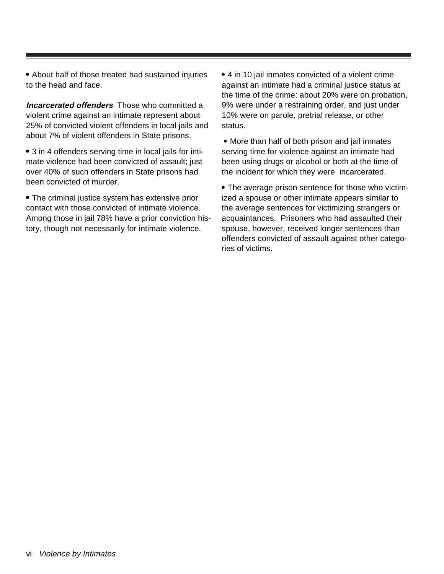About half of those treated had sustained injuries to the head and face.

**Incarcerated offenders** Those who committed a violent crime against an intimate represent about 25% of convicted violent offenders in local jails and about 7% of violent offenders in State prisons.

• 3 in 4 offenders serving time in local jails for intimate violence had been convicted of assault; just over 40% of such offenders in State prisons had been convicted of murder.

 The criminal justice system has extensive prior contact with those convicted of intimate violence. Among those in jail 78% have a prior conviction history, though not necessarily for intimate violence.

 4 in 10 jail inmates convicted of a violent crime against an intimate had a criminal justice status at the time of the crime: about 20% were on probation, 9% were under a restraining order, and just under 10% were on parole, pretrial release, or other status.

• More than half of both prison and jail inmates serving time for violence against an intimate had been using drugs or alcohol or both at the time of the incident for which they were incarcerated.

 The average prison sentence for those who victimized a spouse or other intimate appears similar to the average sentences for victimizing strangers or acquaintances. Prisoners who had assaulted their spouse, however, received longer sentences than offenders convicted of assault against other categories of victims.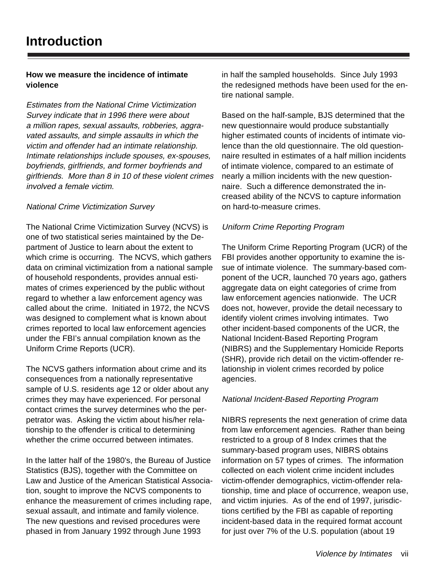#### **How we measure the incidence of intimate violence**

Estimates from the National Crime Victimization Survey indicate that in 1996 there were about a million rapes, sexual assaults, robberies, aggravated assaults, and simple assaults in which the victim and offender had an intimate relationship. Intimate relationships include spouses, ex-spouses, boyfriends, girlfriends, and former boyfriends and girlfriends. More than 8 in 10 of these violent crimes involved a female victim.

#### National Crime Victimization Survey

The National Crime Victimization Survey (NCVS) is one of two statistical series maintained by the Department of Justice to learn about the extent to which crime is occurring. The NCVS, which gathers data on criminal victimization from a national sample of household respondents, provides annual estimates of crimes experienced by the public without regard to whether a law enforcement agency was called about the crime. Initiated in 1972, the NCVS was designed to complement what is known about crimes reported to local law enforcement agencies under the FBI's annual compilation known as the Uniform Crime Reports (UCR).

The NCVS gathers information about crime and its consequences from a nationally representative sample of U.S. residents age 12 or older about any crimes they may have experienced. For personal contact crimes the survey determines who the perpetrator was. Asking the victim about his/her relationship to the offender is critical to determining whether the crime occurred between intimates.

In the latter half of the 1980's, the Bureau of Justice Statistics (BJS), together with the Committee on Law and Justice of the American Statistical Association, sought to improve the NCVS components to enhance the measurement of crimes including rape, sexual assault, and intimate and family violence. The new questions and revised procedures were phased in from January 1992 through June 1993

in half the sampled households. Since July 1993 the redesigned methods have been used for the entire national sample.

Based on the half-sample, BJS determined that the new questionnaire would produce substantially higher estimated counts of incidents of intimate violence than the old questionnaire. The old questionnaire resulted in estimates of a half million incidents of intimate violence, compared to an estimate of nearly a million incidents with the new questionnaire. Such a difference demonstrated the increased ability of the NCVS to capture information on hard-to-measure crimes.

#### Uniform Crime Reporting Program

The Uniform Crime Reporting Program (UCR) of the FBI provides another opportunity to examine the issue of intimate violence. The summary-based component of the UCR, launched 70 years ago, gathers aggregate data on eight categories of crime from law enforcement agencies nationwide. The UCR does not, however, provide the detail necessary to identify violent crimes involving intimates. Two other incident-based components of the UCR, the National Incident-Based Reporting Program (NIBRS) and the Supplementary Homicide Reports (SHR), provide rich detail on the victim-offender relationship in violent crimes recorded by police agencies.

#### National Incident-Based Reporting Program

NIBRS represents the next generation of crime data from law enforcement agencies. Rather than being restricted to a group of 8 Index crimes that the summary-based program uses, NIBRS obtains information on 57 types of crimes. The information collected on each violent crime incident includes victim-offender demographics, victim-offender relationship, time and place of occurrence, weapon use, and victim injuries. As of the end of 1997, jurisdictions certified by the FBI as capable of reporting incident-based data in the required format account for just over 7% of the U.S. population (about 19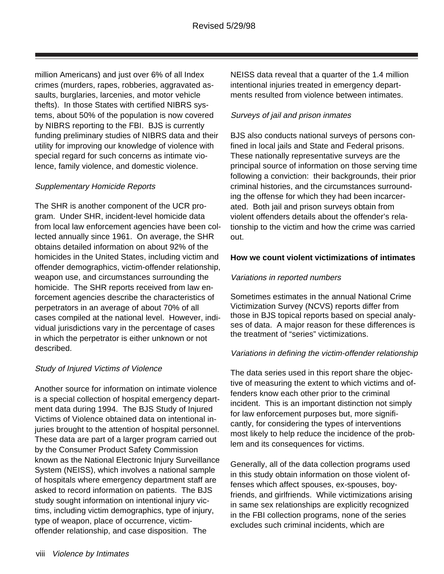million Americans) and just over 6% of all Index crimes (murders, rapes, robberies, aggravated assaults, burglaries, larcenies, and motor vehicle thefts). In those States with certified NIBRS systems, about 50% of the population is now covered by NIBRS reporting to the FBI. BJS is currently funding preliminary studies of NIBRS data and their utility for improving our knowledge of violence with special regard for such concerns as intimate violence, family violence, and domestic violence.

#### Supplementary Homicide Reports

The SHR is another component of the UCR program. Under SHR, incident-level homicide data from local law enforcement agencies have been collected annually since 1961. On average, the SHR obtains detailed information on about 92% of the homicides in the United States, including victim and offender demographics, victim-offender relationship, weapon use, and circumstances surrounding the homicide. The SHR reports received from law enforcement agencies describe the characteristics of perpetrators in an average of about 70% of all cases compiled at the national level. However, individual jurisdictions vary in the percentage of cases in which the perpetrator is either unknown or not described.

#### Study of Injured Victims of Violence

Another source for information on intimate violence is a special collection of hospital emergency department data during 1994. The BJS Study of Injured Victims of Violence obtained data on intentional injuries brought to the attention of hospital personnel. These data are part of a larger program carried out by the Consumer Product Safety Commission known as the National Electronic Injury Surveillance System (NEISS), which involves a national sample of hospitals where emergency department staff are asked to record information on patients. The BJS study sought information on intentional injury victims, including victim demographics, type of injury, type of weapon, place of occurrence, victimoffender relationship, and case disposition. The

NEISS data reveal that a quarter of the 1.4 million intentional injuries treated in emergency departments resulted from violence between intimates.

#### Surveys of jail and prison inmates

BJS also conducts national surveys of persons confined in local jails and State and Federal prisons. These nationally representative surveys are the principal source of information on those serving time following a conviction: their backgrounds, their prior criminal histories, and the circumstances surrounding the offense for which they had been incarcerated. Both jail and prison surveys obtain from violent offenders details about the offender's relationship to the victim and how the crime was carried out.

#### **How we count violent victimizations of intimates**

#### Variations in reported numbers

Sometimes estimates in the annual National Crime Victimization Survey (NCVS) reports differ from those in BJS topical reports based on special analyses of data. A major reason for these differences is the treatment of "series" victimizations.

#### Variations in defining the victim-offender relationship

The data series used in this report share the objective of measuring the extent to which victims and offenders know each other prior to the criminal incident. This is an important distinction not simply for law enforcement purposes but, more significantly, for considering the types of interventions most likely to help reduce the incidence of the problem and its consequences for victims.

Generally, all of the data collection programs used in this study obtain information on those violent offenses which affect spouses, ex-spouses, boyfriends, and girlfriends. While victimizations arising in same sex relationships are explicitly recognized in the FBI collection programs, none of the series excludes such criminal incidents, which are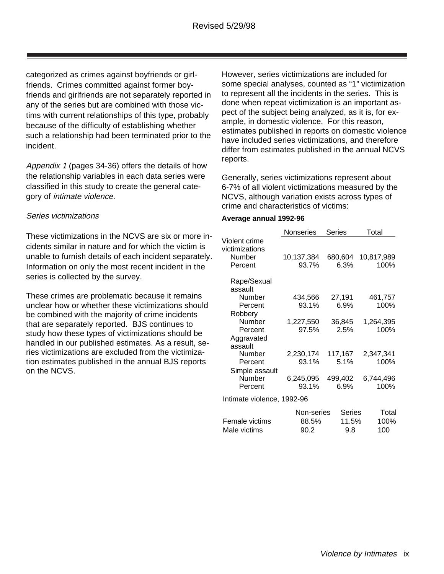categorized as crimes against boyfriends or girlfriends. Crimes committed against former boyfriends and girlfriends are not separately reported in any of the series but are combined with those victims with current relationships of this type, probably because of the difficulty of establishing whether such a relationship had been terminated prior to the incident.

Appendix 1 (pages 34-36) offers the details of how the relationship variables in each data series were classified in this study to create the general category of intimate violence.

#### Series victimizations

These victimizations in the NCVS are six or more incidents similar in nature and for which the victim is unable to furnish details of each incident separately. Information on only the most recent incident in the series is collected by the survey.

These crimes are problematic because it remains unclear how or whether these victimizations should be combined with the majority of crime incidents that are separately reported. BJS continues to study how these types of victimizations should be handled in our published estimates. As a result, series victimizations are excluded from the victimization estimates published in the annual BJS reports on the NCVS.

However, series victimizations are included for some special analyses, counted as "1" victimization to represent all the incidents in the series. This is done when repeat victimization is an important aspect of the subject being analyzed, as it is, for example, in domestic violence. For this reason, estimates published in reports on domestic violence have included series victimizations, and therefore differ from estimates published in the annual NCVS reports.

Generally, series victimizations represent about 6-7% of all violent victimizations measured by the NCVS, although variation exists across types of crime and characteristics of victims:

#### **Average annual 1992-96**

|                            | Nonseries  | Series  | Total      |
|----------------------------|------------|---------|------------|
| Violent crime              |            |         |            |
| victimizations             |            |         |            |
| Number                     | 10,137,384 | 680,604 | 10,817,989 |
| Percent                    | 93.7%      | 6.3%    | 100%       |
| Rape/Sexual                |            |         |            |
| assault                    |            |         |            |
| Number                     | 434,566    | 27,191  | 461,757    |
| Percent                    | 93.1%      | 6.9%    | 100%       |
| Robbery                    |            |         |            |
| Number                     | 1,227,550  | 36,845  | 1,264,395  |
| Percent                    | 97.5%      | 2.5%    | 100%       |
| Aggravated                 |            |         |            |
| assault                    |            |         |            |
| Number                     | 2,230,174  | 117,167 | 2,347,341  |
| Percent                    | 93.1%      | 5.1%    | 100%       |
| Simple assault             |            |         |            |
| Number                     | 6,245,095  | 499,402 | 6,744,496  |
| Percent                    | 93.1%      | 6.9%    | 100%       |
| Intimate violence, 1992-96 |            |         |            |
|                            | Non-series | Series  | Total      |
| Female victims             | 88.5%      | 11.5%   | 100%       |
| Male victims               | 90.2       | 9.8     | 100        |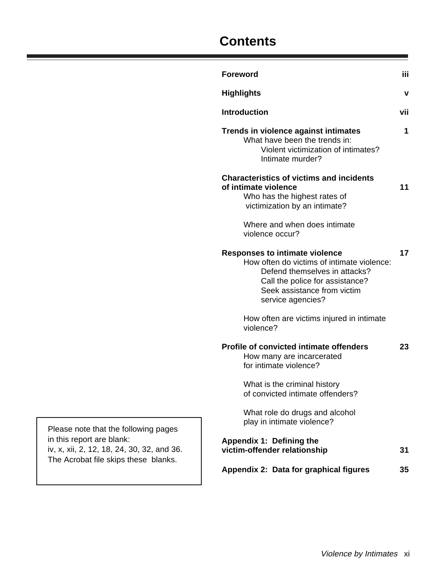## **Contents**

|            | <b>Foreword</b>                                                                                                                                                                                             | iii |
|------------|-------------------------------------------------------------------------------------------------------------------------------------------------------------------------------------------------------------|-----|
|            | <b>Highlights</b>                                                                                                                                                                                           | v   |
|            | <b>Introduction</b>                                                                                                                                                                                         | vii |
|            | Trends in violence against intimates<br>What have been the trends in:<br>Violent victimization of intimates?<br>Intimate murder?                                                                            | 1   |
|            | <b>Characteristics of victims and incidents</b><br>of intimate violence<br>Who has the highest rates of<br>victimization by an intimate?<br>Where and when does intimate                                    | 11  |
|            | violence occur?                                                                                                                                                                                             |     |
|            | <b>Responses to intimate violence</b><br>How often do victims of intimate violence:<br>Defend themselves in attacks?<br>Call the police for assistance?<br>Seek assistance from victim<br>service agencies? | 17  |
|            | How often are victims injured in intimate<br>violence?                                                                                                                                                      |     |
|            | <b>Profile of convicted intimate offenders</b><br>How many are incarcerated<br>for intimate violence?                                                                                                       | 23  |
|            | What is the criminal history<br>of convicted intimate offenders?                                                                                                                                            |     |
| g pages    | What role do drugs and alcohol<br>play in intimate violence?                                                                                                                                                |     |
| 2, and 36. | Appendix 1: Defining the<br>victim-offender relationship                                                                                                                                                    | 31  |
| blanks.    | Appendix 2: Data for graphical figures                                                                                                                                                                      | 35  |
|            |                                                                                                                                                                                                             |     |

Please note that the following in this report are blank: iv, x, xii, 2, 12, 18, 24, 30, 32 The Acrobat file skips these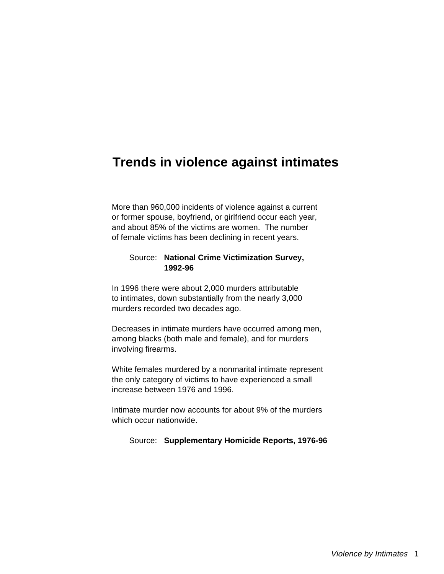### **Trends in violence against intimates**

More than 960,000 incidents of violence against a current or former spouse, boyfriend, or girlfriend occur each year, and about 85% of the victims are women. The number of female victims has been declining in recent years.

#### Source: **National Crime Victimization Survey, 1992-96**

In 1996 there were about 2,000 murders attributable to intimates, down substantially from the nearly 3,000 murders recorded two decades ago.

Decreases in intimate murders have occurred among men, among blacks (both male and female), and for murders involving firearms.

White females murdered by a nonmarital intimate represent the only category of victims to have experienced a small increase between 1976 and 1996.

Intimate murder now accounts for about 9% of the murders which occur nationwide.

Source: **Supplementary Homicide Reports, 1976-96**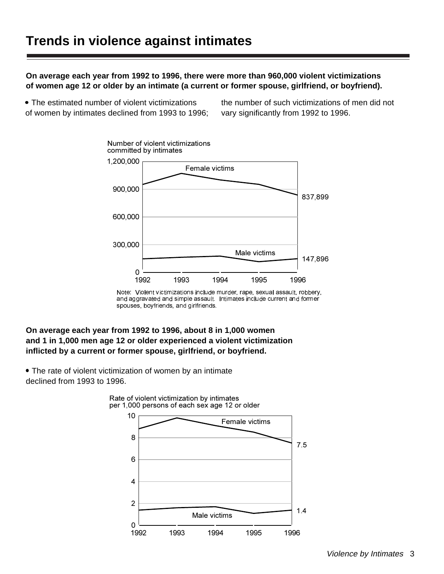**On average each year from 1992 to 1996, there were more than 960,000 violent victimizations of women age 12 or older by an intimate (a current or former spouse, girlfriend, or boyfriend).**

 The estimated number of violent victimizations of women by intimates declined from 1993 to 1996; the number of such victimizations of men did not vary significantly from 1992 to 1996.



Note: Violent victimizations include murder, rape, sexual assault, robbery, and aggravated and simple assault. Intimates include current and former spouses, boyfriends, and girlfriends.

#### **On average each year from 1992 to 1996, about 8 in 1,000 women and 1 in 1,000 men age 12 or older experienced a violent victimization inflicted by a current or former spouse, girlfriend, or boyfriend.**

The rate of violent victimization of women by an intimate declined from 1993 to 1996.



Rate of violent victimization by intimates per 1,000 persons of each sex age 12 or older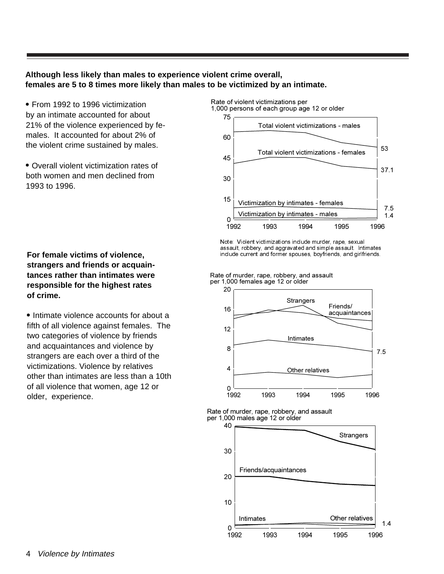#### **Although less likely than males to experience violent crime overall, females are 5 to 8 times more likely than males to be victimized by an intimate.**

• From 1992 to 1996 victimization by an intimate accounted for about 21% of the violence experienced by females. It accounted for about 2% of the violent crime sustained by males.

 Overall violent victimization rates of both women and men declined from 1993 to 1996.

#### **For female victims of violence, strangers and friends or acquaintances rather than intimates were responsible for the highest rates of crime.**

• Intimate violence accounts for about a fifth of all violence against females. The two categories of violence by friends and acquaintances and violence by strangers are each over a third of the victimizations. Violence by relatives other than intimates are less than a 10th of all violence that women, age 12 or older, experience.



Note: Violent victimizations include murder, rape, sexual assault, robbery, and aggravated and simple assault. Intimates include current and former spouses, boyfriends, and girlfriends.

Rate of murder, rape, robbery, and assault per 1,000 females age 12 or older



Rate of murder, rape, robbery, and assault per 1,000 males age 12 or older

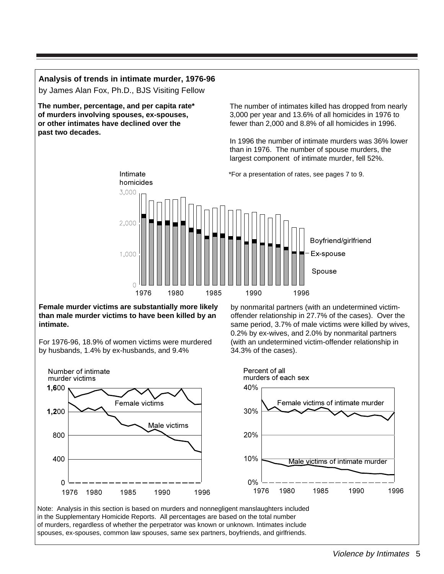#### **Analysis of trends in intimate murder, 1976-96**

by James Alan Fox, Ph.D., BJS Visiting Fellow

**The number, percentage, and per capita rate\* of murders involving spouses, ex-spouses, or other intimates have declined over the past two decades.** 

The number of intimates killed has dropped from nearly 3,000 per year and 13.6% of all homicides in 1976 to fewer than 2,000 and 8.8% of all homicides in 1996.

In 1996 the number of intimate murders was 36% lower than in 1976. The number of spouse murders, the largest component of intimate murder, fell 52%.



**Female murder victims are substantially more likely than male murder victims to have been killed by an intimate.** 

For 1976-96, 18.9% of women victims were murdered by husbands, 1.4% by ex-husbands, and 9.4%

by nonmarital partners (with an undetermined victimoffender relationship in 27.7% of the cases). Over the same period, 3.7% of male victims were killed by wives, 0.2% by ex-wives, and 2.0% by nonmarital partners (with an undetermined victim-offender relationship in 34.3% of the cases).



in the Supplementary Homicide Reports. All percentages are based on the total number of murders, regardless of whether the perpetrator was known or unknown. Intimates include spouses, ex-spouses, common law spouses, same sex partners, boyfriends, and girlfriends.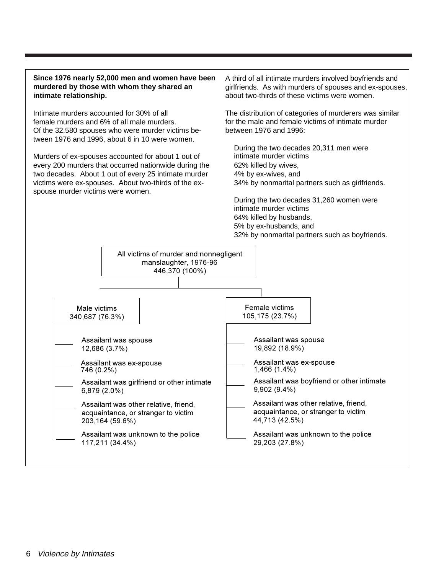#### **Since 1976 nearly 52,000 men and women have been murdered by those with whom they shared an intimate relationship.**

Intimate murders accounted for 30% of all female murders and 6% of all male murders. Of the 32,580 spouses who were murder victims between 1976 and 1996, about 6 in 10 were women.

Murders of ex-spouses accounted for about 1 out of every 200 murders that occurred nationwide during the two decades. About 1 out of every 25 intimate murder victims were ex-spouses. About two-thirds of the exspouse murder victims were women.

A third of all intimate murders involved boyfriends and girlfriends. As with murders of spouses and ex-spouses, about two-thirds of these victims were women.

The distribution of categories of murderers was similar for the male and female victims of intimate murder between 1976 and 1996:

During the two decades 20,311 men were intimate murder victims 62% killed by wives, 4% by ex-wives, and 34% by nonmarital partners such as girlfriends.

During the two decades 31,260 women were intimate murder victims 64% killed by husbands, 5% by ex-husbands, and 32% by nonmarital partners such as boyfriends.

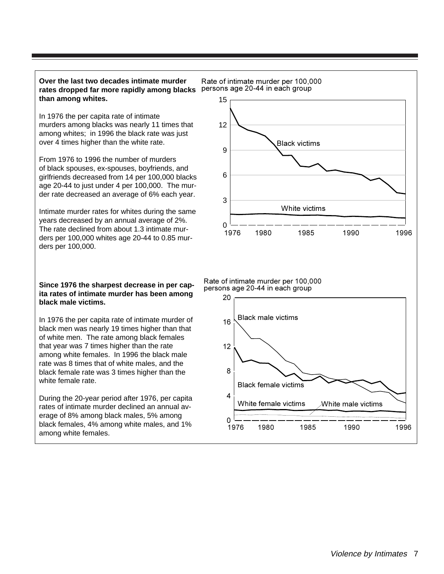#### **Over the last two decades intimate murder rates dropped far more rapidly among blacks** persons age 20-44 in each group **than among whites.**

In 1976 the per capita rate of intimate murders among blacks was nearly 11 times that among whites; in 1996 the black rate was just over 4 times higher than the white rate.

From 1976 to 1996 the number of murders of black spouses, ex-spouses, boyfriends, and girlfriends decreased from 14 per 100,000 blacks age 20-44 to just under 4 per 100,000. The murder rate decreased an average of 6% each year.

Intimate murder rates for whites during the same years decreased by an annual average of 2%. The rate declined from about 1.3 intimate murders per 100,000 whites age 20-44 to 0.85 murders per 100,000.

#### **Since 1976 the sharpest decrease in per capita rates of intimate murder has been among black male victims.**

In 1976 the per capita rate of intimate murder of black men was nearly 19 times higher than that of white men. The rate among black females that year was 7 times higher than the rate among white females. In 1996 the black male rate was 8 times that of white males, and the black female rate was 3 times higher than the white female rate

During the 20-year period after 1976, per capita rates of intimate murder declined an annual average of 8% among black males, 5% among black females, 4% among white males, and 1% among white females.



Rate of intimate murder per 100,000 persons age 20-44 in each group

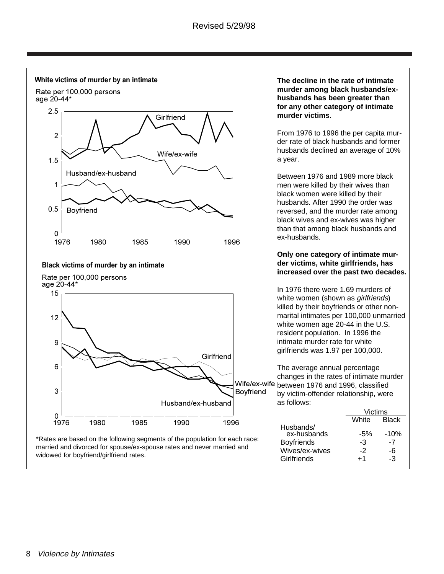

#### 8 Violence by Intimates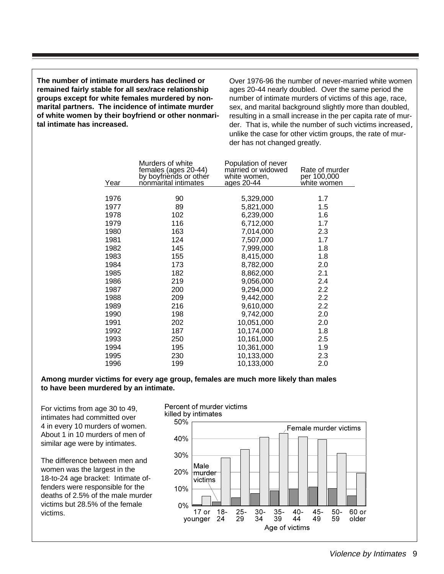**The number of intimate murders has declined or remained fairly stable for all sex/race relationship groups except for white females murdered by nonmarital partners. The incidence of intimate murder of white women by their boyfriend or other nonmarital intimate has increased.**

Over 1976-96 the number of never-married white women ages 20-44 nearly doubled. Over the same period the number of intimate murders of victims of this age, race, sex, and marital background slightly more than doubled, resulting in a small increase in the per capita rate of murder. That is, while the number of such victims increased, unlike the case for other victim groups, the rate of murder has not changed greatly.

|      | Murders of white<br>females (ages 20-44)<br>by boyfriends or other | Population of never<br>married or widowed | Rate of murder             |
|------|--------------------------------------------------------------------|-------------------------------------------|----------------------------|
| Year | nonmarital intimates                                               | white women,<br>ages 20-44                | per 100,000<br>white women |
|      |                                                                    |                                           |                            |
| 1976 | 90                                                                 | 5,329,000                                 | 1.7                        |
| 1977 | 89                                                                 | 5,821,000                                 | 1.5                        |
| 1978 | 102                                                                | 6,239,000                                 | 1.6                        |
| 1979 | 116                                                                | 6,712,000                                 | 1.7                        |
| 1980 | 163                                                                | 7,014,000                                 | 2.3                        |
| 1981 | 124                                                                | 7,507,000                                 | 1.7                        |
| 1982 | 145                                                                | 7,999,000                                 | 1.8                        |
| 1983 | 155                                                                | 8,415,000                                 | 1.8                        |
| 1984 | 173                                                                | 8,782,000                                 | 2.0                        |
| 1985 | 182                                                                | 8,862,000                                 | 2.1                        |
| 1986 | 219                                                                | 9,056,000                                 | 2.4                        |
| 1987 | 200                                                                | 9,294,000                                 | 2.2                        |
| 1988 | 209                                                                | 9,442,000                                 | 2.2                        |
| 1989 | 216                                                                | 9,610,000                                 | 2.2                        |
| 1990 | 198                                                                | 9,742,000                                 | 2.0                        |
| 1991 | 202                                                                | 10,051,000                                | 2.0                        |
| 1992 | 187                                                                | 10,174,000                                | 1.8                        |
| 1993 | 250                                                                | 10,161,000                                | 2.5                        |
| 1994 | 195                                                                | 10,361,000                                | 1.9                        |
| 1995 | 230                                                                | 10,133,000                                | 2.3                        |
| 1996 | 199                                                                | 10,133,000                                | 2.0                        |

#### **Among murder victims for every age group, females are much more likely than males to have been murdered by an intimate.**

For victims from age 30 to 49, intimates had committed over 4 in every 10 murders of women. About 1 in 10 murders of men of similar age were by intimates.

The difference between men and women was the largest in the 18-to-24 age bracket: Intimate offenders were responsible for the deaths of 2.5% of the male murder victims but 28.5% of the female victims.

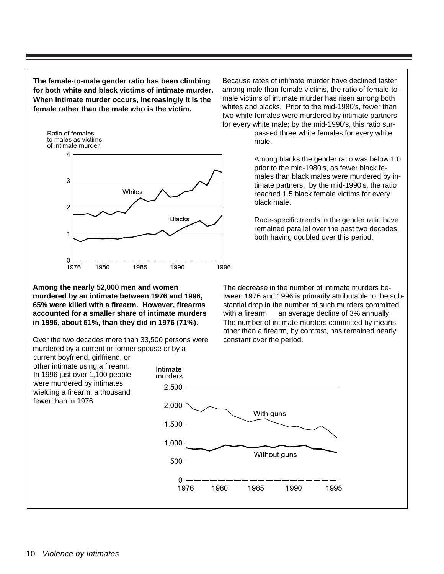**The female-to-male gender ratio has been climbing for both white and black victims of intimate murder. When intimate murder occurs, increasingly it is the female rather than the male who is the victim.**



**Among the nearly 52,000 men and women murdered by an intimate between 1976 and 1996, 65% were killed with a firearm. However, firearms accounted for a smaller share of intimate murders in 1996, about 61%, than they did in 1976 (71%)**.

Over the two decades more than 33,500 persons were murdered by a current or former spouse or by a

current boyfriend, girlfriend, or other intimate using a firearm. In 1996 just over 1,100 people were murdered by intimates wielding a firearm, a thousand fewer than in 1976.

Because rates of intimate murder have declined faster among male than female victims, the ratio of female-tomale victims of intimate murder has risen among both whites and blacks. Prior to the mid-1980's, fewer than two white females were murdered by intimate partners for every white male; by the mid-1990's, this ratio sur-

> passed three white females for every white male.

Among blacks the gender ratio was below 1.0 prior to the mid-1980's, as fewer black females than black males were murdered by intimate partners; by the mid-1990's, the ratio reached 1.5 black female victims for every black male.

Race-specific trends in the gender ratio have remained parallel over the past two decades, both having doubled over this period.

The decrease in the number of intimate murders between 1976 and 1996 is primarily attributable to the substantial drop in the number of such murders committed with a firearm – an average decline of 3% annually. The number of intimate murders committed by means other than a firearm, by contrast, has remained nearly constant over the period.

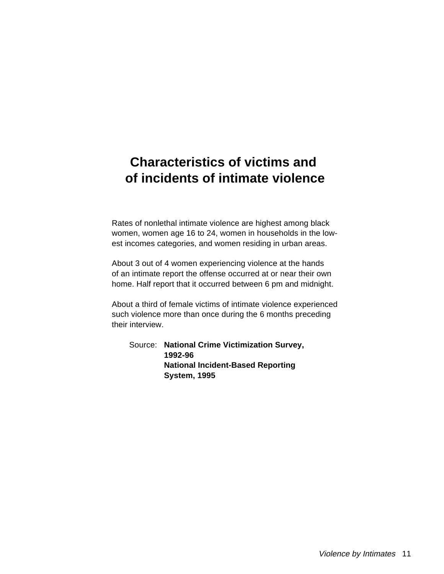## **Characteristics of victims and of incidents of intimate violence**

Rates of nonlethal intimate violence are highest among black women, women age 16 to 24, women in households in the lowest incomes categories, and women residing in urban areas.

About 3 out of 4 women experiencing violence at the hands of an intimate report the offense occurred at or near their own home. Half report that it occurred between 6 pm and midnight.

About a third of female victims of intimate violence experienced such violence more than once during the 6 months preceding their interview.

Source: **National Crime Victimization Survey, 1992-96 National Incident-Based Reporting System, 1995**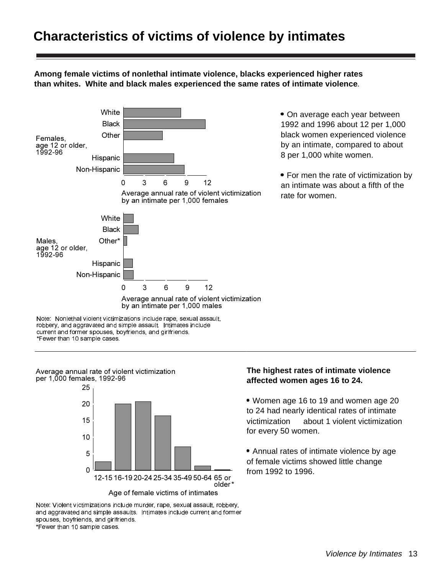## **Characteristics of victims of violence by intimates**

**Among female victims of nonlethal intimate violence, blacks experienced higher rates than whites. White and black males experienced the same rates of intimate violence**.



• On average each year between 1992 and 1996 about 12 per 1,000 black women experienced violence by an intimate, compared to about 8 per 1,000 white women.

• For men the rate of victimization by an intimate was about a fifth of the rate for women.

Note: Nonlethal violent victimizations include rape, sexual assault, robbery, and aggravated and simple assault. Intimates include current and former spouses, boyfriends, and girlfriends. \*Fewer than 10 sample cases.



#### **The highest rates of intimate violence affected women ages 16 to 24.**

 Women age 16 to 19 and women age 20 to 24 had nearly identical rates of intimate victimization - about 1 violent victimization

 Annual rates of intimate violence by age of female victims showed little change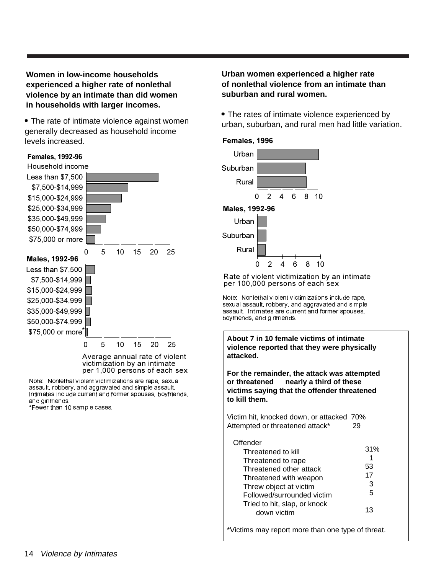#### **Women in low-income households experienced a higher rate of nonlethal violence by an intimate than did women in households with larger incomes.**

• The rate of intimate violence against women generally decreased as household income levels increased.

#### Less than \$7,500 \$7,500-\$14,999 \$15,000-\$24,999 \$25,000-\$34,999 \$35,000-\$49,999 \$50,000-\$74,999 \$75,000 or more 0 5 10 15 20 25 Less than \$7,500 \$7,500-\$14,999 \$15,000-\$24,999 \$25,000-\$34,999 \$35,000-\$49,999 \$50,000-\$74,999 \$75,000 or more \* 0 5 10 15 20 25 Average annual rate of violent victimization by an intimate Males, 1992-96 Females, 1992-96 Household income

Note: Nonlethal violent victimizations are rape, sexual assault, robbery, and aggravated and simple assault. Intimates include current and former spouses, boyfriends, and girlfriends.

per 1,000 persons of each sex

\*Fewer than 10 sample cases.

#### **Urban women experienced a higher rate of nonlethal violence from an intimate than suburban and rural women.**

 The rates of intimate violence experienced by urban, suburban, and rural men had little variation.

#### Females, 1996





#### Rate of violent victimization by an intimate per 100,000 persons of each sex

Note: Nonlethal violent victimizations include rape, sexual assault, robbery, and aggravated and simple assault. Intimates are current and former spouses, boyfriends, and girlfriends.

**About 7 in 10 female victims of intimate violence reported that they were physically attacked.** 

**For the remainder, the attack was attempted or threatened nearly a third of these victims saying that the offender threatened to kill them.**

Victim hit, knocked down, or attacked 70% Attempted or threatened attack\* 29

| Offender-<br>Threatened to kill<br>Threatened to rape<br>Threatened other attack<br>Threatened with weapon | 31%<br>1<br>53<br>17 |
|------------------------------------------------------------------------------------------------------------|----------------------|
| Threw object at victim<br>Followed/surrounded victim                                                       | 3<br>5               |
| Tried to hit, slap, or knock<br>down victim                                                                | 13                   |

\*Victims may report more than one type of threat.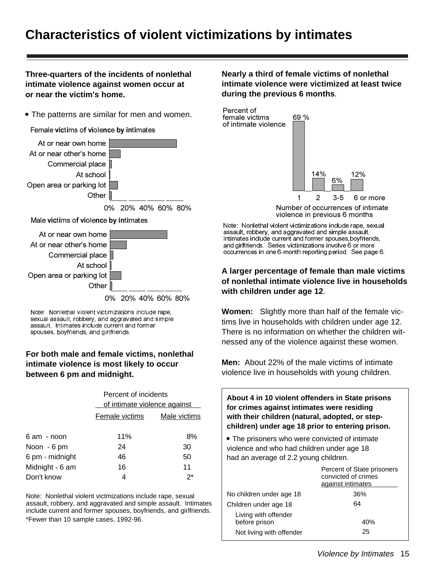## **Characteristics of violent victimizations by intimates**

**Three-quarters of the incidents of nonlethal intimate violence against women occur at or near the victim's home.**

The patterns are similar for men and women.

Female victims of violence by intimates



At or near own home



0% 20% 40% 60% 80%

Note: Nonlethal violent victimizations include rape, sexual assault, robbery, and aggravated and simple assault. Intimates include current and former spouses, boyfriends, and girlfriends.

#### **For both male and female victims, nonlethal intimate violence is most likely to occur between 6 pm and midnight.**

|                 | Percent of incidents           |              |  |  |
|-----------------|--------------------------------|--------------|--|--|
|                 | of intimate violence against - |              |  |  |
|                 | Female victims                 | Male victims |  |  |
| $6$ am $-$ noon | 11%                            | 8%           |  |  |
| Noon - 6 pm     | 24                             | 30           |  |  |
| 6 pm - midnight | 46                             | 50           |  |  |
| Midnight - 6 am | 16                             | 11           |  |  |
| Don't know      | 4                              | $2^*$        |  |  |
|                 |                                |              |  |  |

Note: Nonlethal violent victmizations include rape, sexual assault, robbery, and aggravated and simple assault. Intimates include current and former spouses, boyfriends, and girlfriends. \*Fewer than 10 sample cases, 1992-96.

**Nearly a third of female victims of nonlethal intimate violence were victimized at least twice during the previous 6 months**.



violence in previous 6 months

Note: Nonlethal violent victimizations include rape, sexual assault, robbery, and aggravated and simple assault. Intimates include current and former spouses,boyfriends, and girlfriends. Series victimizations involve 6 or more occurrences in one 6-month reporting period. See page 6.

#### **A larger percentage of female than male victims of nonlethal intimate violence live in households with children under age 12**.

**Women:** Slightly more than half of the female victims live in households with children under age 12. There is no information on whether the children witnessed any of the violence against these women.

**Men:** About 22% of the male victims of intimate violence live in households with young children.

**About 4 in 10 violent offenders in State prisons for crimes against intimates were residing with their children (natural, adopted, or stepchildren) under age 18 prior to entering prison.** The prisoners who were convicted of intimate violence and who had children under age 18 had an average of 2.2 young children.

|                                       | Percent of State prisoners<br>convicted of crimes<br>against intimates |
|---------------------------------------|------------------------------------------------------------------------|
| No children under age 18              | 36%                                                                    |
| Children under age 18                 | 64                                                                     |
| Living with offender<br>before prison | 40%                                                                    |
| Not living with offender              | 25                                                                     |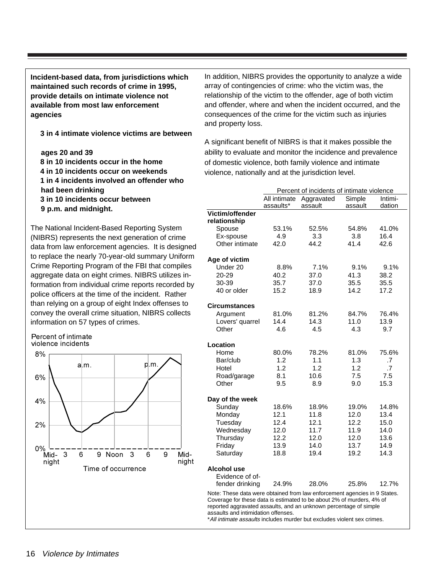**Incident-based data, from jurisdictions which maintained such records of crime in 1995, provide details on intimate violence not available from most law enforcement agencies** 

#### **3 in 4 intimate violence victims are between**

#### **ages 20 and 39**

- $-8$  in 10 incidents occur in the home
- **4 in 10 incidents occur on weekends**
- **1 in 4 incidents involved an offender who had been drinking**
- **3 in 10 incidents occur between 9 p.m. and midnight.**

The National Incident-Based Reporting System (NIBRS) represents the next generation of crime data from law enforcement agencies. It is designed to replace the nearly 70-year-old summary Uniform Crime Reporting Program of the FBI that compiles aggregate data on eight crimes. NIBRS utilizes information from individual crime reports recorded by police officers at the time of the incident. Rather than relying on a group of eight Index offenses to convey the overall crime situation, NIBRS collects information on 57 types of crimes.





In addition, NIBRS provides the opportunity to analyze a wide array of contingencies of crime: who the victim was, the relationship of the victim to the offender, age of both victim and offender, where and when the incident occurred, and the consequences of the crime for the victim such as injuries and property loss.

A significant benefit of NIBRS is that it makes possible the ability to evaluate and monitor the incidence and prevalence of domestic violence, both family violence and intimate violence, nationally and at the jurisdiction level.

|                                                                           | Percent of incidents of intimate violence       |         |         |                 |  |
|---------------------------------------------------------------------------|-------------------------------------------------|---------|---------|-----------------|--|
|                                                                           | Aggravated<br>Simple<br>Intimi-<br>All intimate |         |         |                 |  |
|                                                                           | assaults*                                       | assault | assault | dation          |  |
| Victim/offender                                                           |                                                 |         |         |                 |  |
| relationship                                                              |                                                 |         |         |                 |  |
| Spouse                                                                    | 53.1%                                           | 52.5%   | 54.8%   | 41.0%           |  |
| Ex-spouse                                                                 | 4.9                                             | 3.3     | 3.8     | 16.4            |  |
| Other intimate                                                            | 42.0                                            | 44.2    | 41.4    | 42.6            |  |
| Age of victim                                                             |                                                 |         |         |                 |  |
| Under 20                                                                  | 8.8%                                            | 7.1%    | 9.1%    | 9.1%            |  |
| 20-29                                                                     | 40.2                                            | 37.0    | 41.3    | 38.2            |  |
| 30-39                                                                     | 35.7                                            | 37.0    | 35.5    | 35.5            |  |
| 40 or older                                                               | 15.2                                            | 18.9    | 14.2    | 17.2            |  |
| <b>Circumstances</b>                                                      |                                                 |         |         |                 |  |
| Argument                                                                  | 81.0%                                           | 81.2%   | 84.7%   | 76.4%           |  |
| Lovers' quarrel                                                           | 14.4                                            | 14.3    | 11.0    | 13.9            |  |
| Other                                                                     | 4.6                                             | 4.5     | 4.3     | 9.7             |  |
|                                                                           |                                                 |         |         |                 |  |
| Location                                                                  |                                                 |         |         |                 |  |
| Home                                                                      | 80.0%                                           | 78.2%   | 81.0%   | 75.6%           |  |
| Bar/club                                                                  | 1.2                                             | 1.1     | 1.3     | .7              |  |
| Hotel                                                                     | 1.2                                             | 1.2     | 1.2     | $\overline{.7}$ |  |
| Road/garage                                                               | 8.1                                             | 10.6    | 7.5     | 7.5             |  |
| Other                                                                     | 9.5                                             | 8.9     | 9.0     | 15.3            |  |
| Day of the week                                                           |                                                 |         |         |                 |  |
| Sunday                                                                    | 18.6%                                           | 18.9%   | 19.0%   | 14.8%           |  |
| Monday                                                                    | 12.1                                            | 11.8    | 12.0    | 13.4            |  |
| Tuesday                                                                   | 12.4                                            | 12.1    | 12.2    | 15.0            |  |
| Wednesday                                                                 | 12.0                                            | 11.7    | 11.9    | 14.0            |  |
| Thursday                                                                  | 12.2                                            | 12.0    | 12.0    | 13.6            |  |
| Friday                                                                    | 13.9                                            | 14.0    | 13.7    | 14.9            |  |
| Saturday                                                                  | 18.8                                            | 19.4    | 19.2    | 14.3            |  |
| <b>Alcohol use</b>                                                        |                                                 |         |         |                 |  |
| Evidence of of-                                                           |                                                 |         |         |                 |  |
| fender drinking                                                           | 24.9%                                           | 28.0%   | 25.8%   | 12.7%           |  |
| Note: These data were obtained from law enforcement agencies in 9 States. |                                                 |         |         |                 |  |

Note: These data were obtained from law enforcement agencies in 9 States. Coverage for these data is estimated to be about 2% of murders, 4% of reported aggravated assaults, and an unknown percentage of simple assaults and intimidation offenses.

\*All intimate assaults includes murder but excludes violent sex crimes.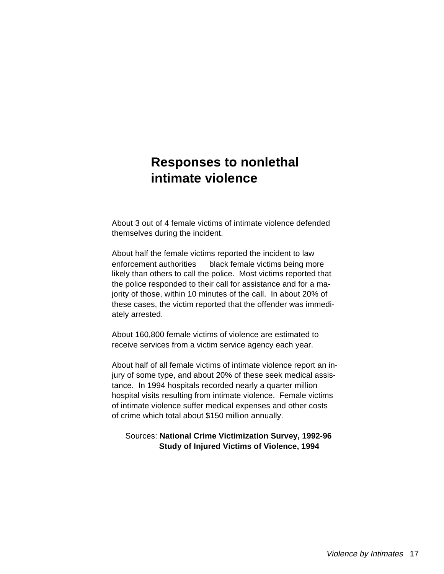## **Responses to nonlethal intimate violence**

About 3 out of 4 female victims of intimate violence defended themselves during the incident.

About half the female victims reported the incident to law enforcement authorities - black female victims being more likely than others to call the police. Most victims reported that the police responded to their call for assistance and for a majority of those, within 10 minutes of the call. In about 20% of these cases, the victim reported that the offender was immediately arrested.

About 160,800 female victims of violence are estimated to receive services from a victim service agency each year.

About half of all female victims of intimate violence report an injury of some type, and about 20% of these seek medical assistance. In 1994 hospitals recorded nearly a quarter million hospital visits resulting from intimate violence. Female victims of intimate violence suffer medical expenses and other costs of crime which total about \$150 million annually.

#### Sources: **National Crime Victimization Survey, 1992-96 Study of Injured Victims of Violence, 1994**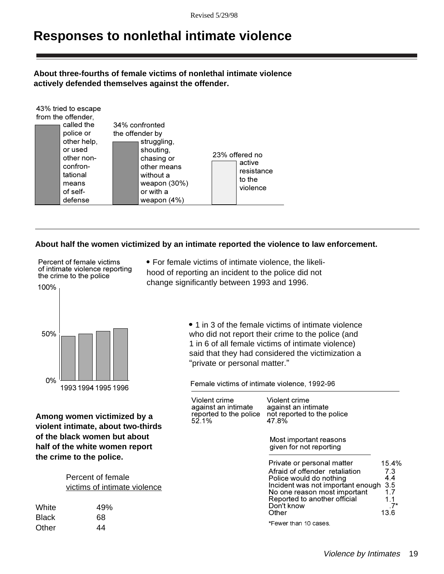## **Responses to nonlethal intimate violence**

#### **About three-fourths of female victims of nonlethal intimate violence actively defended themselves against the offender.**

|                    | 43% tried to escape |                 |                |  |                          |  |
|--------------------|---------------------|-----------------|----------------|--|--------------------------|--|
| from the offender, |                     |                 |                |  |                          |  |
|                    | called the          |                 | 34% confronted |  |                          |  |
|                    | police or           | the offender by |                |  |                          |  |
|                    | other help,         |                 | struggling.    |  |                          |  |
|                    | or used             |                 | shouting,      |  |                          |  |
|                    | other non-          |                 | chasing or     |  | 23% offered no<br>active |  |
|                    | confron-            |                 | other means    |  |                          |  |
|                    | tational            |                 | without a      |  | resistance<br>to the     |  |
|                    | means               |                 | weapon $(30%)$ |  |                          |  |
|                    | of self-            |                 | or with a      |  | violence                 |  |
|                    | defense             |                 | weapon $(4%)$  |  |                          |  |

#### **About half the women victimized by an intimate reported the violence to law enforcement.**

Percent of female victims of intimate violence reporting the crime to the police

 $430%$  tried to  $4.4$ 

 For female victims of intimate violence, the likelihood of reporting an incident to the police did not change significantly between 1993 and 1996.



**Among women victimized by a violent intimate, about two-thirds of the black women but about half of the white women report the crime to the police.** 

| Percent of female            |
|------------------------------|
| victims of intimate violence |

| White        | 49% |
|--------------|-----|
| <b>Black</b> | 68  |
| Other        | 44  |

• 1 in 3 of the female victims of intimate violence who did not report their crime to the police (and 1 in 6 of all female victims of intimate violence) said that they had considered the victimization a "private or personal matter."

Female victims of intimate violence, 1992-96

| Violent crime<br>against an intimate<br>reported to the police<br>52.1% | Violent crime<br>against an intimate<br>not reported to the police<br>47.8%                                                                                                                                         |                                                         |
|-------------------------------------------------------------------------|---------------------------------------------------------------------------------------------------------------------------------------------------------------------------------------------------------------------|---------------------------------------------------------|
|                                                                         | Most important reasons<br>given for not reporting                                                                                                                                                                   |                                                         |
|                                                                         | Private or personal matter<br>Afraid of offender retaliation<br>Police would do nothing<br>Incident was not important enough<br>No one reason most important<br>Reported to another official<br>Don't know<br>Other | 15.4%<br>7.3<br>4.4<br>3.5<br>1.7<br>1.1<br>-7*<br>13.6 |
|                                                                         | *Fewer than 10 cases.                                                                                                                                                                                               |                                                         |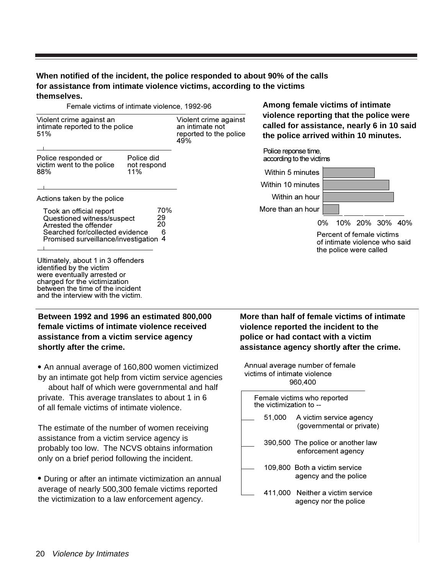#### **When notified of the incident, the police responded to about 90% of the calls for assistance from intimate violence victims, according to the victims themselves.**

Female victims of intimate violence, 1992-96

| Violent crime against an<br>intimate reported to the police<br>51%                                                                                       |                                  | Violent crime against<br>an intimate not<br>reported to the police<br>49% |
|----------------------------------------------------------------------------------------------------------------------------------------------------------|----------------------------------|---------------------------------------------------------------------------|
| Police responded or<br>victim went to the police<br>88%                                                                                                  | Police did<br>not respond<br>11% |                                                                           |
| Actions taken by the police                                                                                                                              |                                  |                                                                           |
| Took an official report<br>Questioned witness/suspect<br>Arrested the offender<br>Searched for/collected evidence<br>Promised surveillance/investigation | 70%<br>29<br>20<br>6<br>4        |                                                                           |
|                                                                                                                                                          |                                  |                                                                           |

Ultimately, about 1 in 3 offenders identified by the victim were eventually arrested or charged for the victimization between the time of the incident and the interview with the victim.

#### **Between 1992 and 1996 an estimated 800,000 female victims of intimate violence received assistance from a victim service agency shortly after the crime.**

• An annual average of 160,800 women victimized by an intimate got help from victim service agencies -about half of which were governmental and half private. This average translates to about 1 in 6 of all female victims of intimate violence.

The estimate of the number of women receiving assistance from a victim service agency is probably too low. The NCVS obtains information only on a brief period following the incident.

 During or after an intimate victimization an annual average of nearly 500,300 female victims reported the victimization to a law enforcement agency.

**Among female victims of intimate violence reporting that the police were called for assistance, nearly 6 in 10 said the police arrived within 10 minutes.**



**More than half of female victims of intimate violence reported the incident to the police or had contact with a victim assistance agency shortly after the crime.**

Annual average number of female victims of intimate violence 960,400

| Female victims who reported<br>the victimization to -- |         |                                                         |
|--------------------------------------------------------|---------|---------------------------------------------------------|
|                                                        | 51,000  | A victim service agency<br>(governmental or private)    |
|                                                        |         | 390,500 The police or another law<br>enforcement agency |
|                                                        |         | 109,800 Both a victim service<br>agency and the police  |
|                                                        | 411.000 | Neither a victim service<br>agency nor the police       |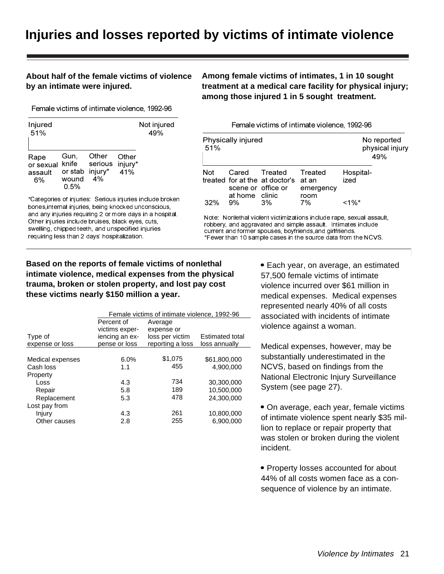## **Injuries and losses reported by victims of intimate violence**

#### **About half of the female victims of violence by an intimate were injured.**

**Among female victims of intimates, 1 in 10 sought treatment at a medical care facility for physical injury; among those injured 1 in 5 sought treatment.**

Female victims of intimate violence, 1992-96

| Injured<br>51%                     |                                                   |                        |                         | Not injured<br>49% |
|------------------------------------|---------------------------------------------------|------------------------|-------------------------|--------------------|
| Rape<br>or sexual<br>assault<br>6% | Gun,<br>knife<br>or stab injury*<br>wound<br>0.5% | Other<br>serious<br>4% | Other<br>injury*<br>41% |                    |

\*Categories of injuries: Serious injuries include broken bones,internal injuries, being knocked unconscious, and any injuries requiring 2 or more days in a hospital. Other injuries include bruises, black eyes, cuts, swelling, chipped teeth, and unspecified injuries requiring less than 2 days' hospitalization.

Female victims of intimate violence, 1992-96

| 51% | Physically injured   |                                                       |                      |                   | No reported<br>physical injury<br>49% |
|-----|----------------------|-------------------------------------------------------|----------------------|-------------------|---------------------------------------|
| Not | scene or office or   | Cared Treated<br>treated for at the at doctor's at an | Treated<br>emergency | Hospital-<br>ized |                                       |
| 32% | at home clinic<br>9% | 3%                                                    | room<br>7%           | <1%*              |                                       |

Note: Nonlethal violent victimizations include rape, sexual assault, robbery, and aggravated and simple assault. Intimates include current and former spouses, boyfriends,and girlfriends. \*Fewer than 10 sample cases in the source data from the NCVS.

#### **Based on the reports of female victims of nonlethal intimate violence, medical expenses from the physical trauma, broken or stolen property, and lost pay cost these victims nearly \$150 million a year.**

• Each year, on average, an estimated 57,500 female victims of intimate violence incurred over \$61 million in medical expenses. Medical expenses represented nearly 40% of all costs associated with incidents of intimate violence against a woman.

Medical expenses, however, may be substantially underestimated in the NCVS, based on findings from the National Electronic Injury Surveillance System (see page 27).

 On average, each year, female victims of intimate violence spent nearly \$35 million to replace or repair property that was stolen or broken during the violent incident.

• Property losses accounted for about 44% of all costs women face as a consequence of violence by an intimate.

|                   | Female victims of intimate violence, 1992-96 |                  |                        |
|-------------------|----------------------------------------------|------------------|------------------------|
|                   | Percent of                                   | Average          |                        |
|                   | victims exper-                               | expense or       |                        |
| Type of           | iencing an ex-                               | loss per victim  | <b>Estimated total</b> |
| expense or loss   | pense or loss                                | reporting a loss | loss annually          |
|                   |                                              |                  |                        |
| Medical expenses  | 6.0%                                         | \$1,075          | \$61,800,000           |
| Cash loss         | 1.1                                          | 455              | 4,900,000              |
| Property          |                                              |                  |                        |
| Loss              | 4.3                                          | 734              | 30,300,000             |
| Repair            | 5.8                                          | 189              | 10,500,000             |
| Replacement       | 5.3                                          | 478              | 24,300,000             |
| Lost pay from $-$ |                                              |                  |                        |
| Injury            | 4.3                                          | 261              | 10,800,000             |
| Other causes      | 2.8                                          | 255              | 6.900.000              |
|                   |                                              |                  |                        |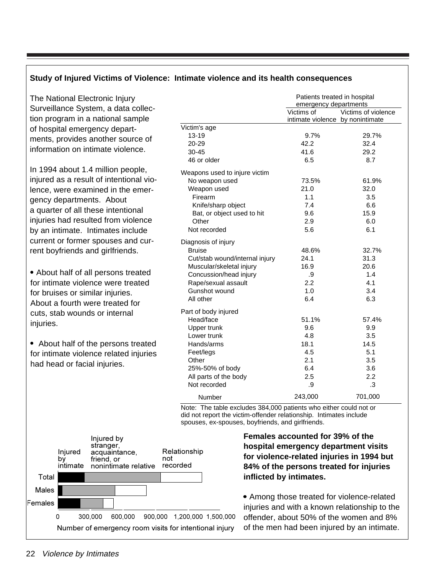#### **Study of Injured Victims of Violence: Intimate violence and its health consequences**

The National Electronic Injury Surveillance System, a data collection program in a national sample of hospital emergency departments, provides another source of information on intimate violence.

In 1994 about 1.4 million people, injured as a result of intentional violence, were examined in the emergency departments. About a quarter of all these intentional injuries had resulted from violence by an intimate. Intimates include current or former spouses and current boyfriends and girlfriends.

 About half of all persons treated for intimate violence were treated for bruises or similar injuries. About a fourth were treated for cuts, stab wounds or internal injuries.

• About half of the persons treated for intimate violence related injuries had head or facial injuries.

|                                | Patients treated in hospital<br>emergency departments |                     |  |
|--------------------------------|-------------------------------------------------------|---------------------|--|
|                                | Victims of<br>intimate violence by nonintimate        | Victims of violence |  |
| Victim's age                   |                                                       |                     |  |
| $13 - 19$                      | 9.7%                                                  | 29.7%               |  |
| 20-29                          | 42.2                                                  | 32.4                |  |
| $30 - 45$                      | 41.6                                                  | 29.2                |  |
| 46 or older                    | 6.5                                                   | 8.7                 |  |
| Weapons used to injure victim  |                                                       |                     |  |
| No weapon used                 | 73.5%                                                 | 61.9%               |  |
| Weapon used                    | 21.0                                                  | 32.0                |  |
| Firearm                        | 1.1                                                   | 3.5                 |  |
| Knife/sharp object             | 7.4                                                   | 6.6                 |  |
| Bat, or object used to hit     | 9.6                                                   | 15.9                |  |
| Other                          | 2.9                                                   | 6.0                 |  |
| Not recorded                   | 5.6                                                   | 6.1                 |  |
| Diagnosis of injury            |                                                       |                     |  |
| <b>Bruise</b>                  | 48.6%                                                 | 32.7%               |  |
| Cut/stab wound/internal injury | 24.1                                                  | 31.3                |  |
| Muscular/skeletal injury       | 16.9                                                  | 20.6                |  |
| Concussion/head injury         | .9                                                    | 1.4                 |  |
| Rape/sexual assault            | 2.2                                                   | 4.1                 |  |
| Gunshot wound                  | 1.0                                                   | 3.4                 |  |
| All other                      | 6.4                                                   | 6.3                 |  |
| Part of body injured           |                                                       |                     |  |
| Head/face                      | 51.1%                                                 | 57.4%               |  |
| Upper trunk                    | 9.6                                                   | 9.9                 |  |
| Lower trunk                    | 4.8                                                   | 3.5                 |  |
| Hands/arms                     | 18.1                                                  | 14.5                |  |
| Feet/legs                      | 4.5                                                   | 5.1                 |  |
| Other                          | 2.1                                                   | 3.5                 |  |
| 25%-50% of body                | 6.4                                                   | 3.6                 |  |
| All parts of the body          | 2.5                                                   | 2.2                 |  |
| Not recorded                   | .9                                                    | .3                  |  |
| Number                         | 243,000                                               | 701,000             |  |

Note: The table excludes 384,000 patients who either could not or did not report the victim-offender relationship. Intimates include spouses, ex-spouses, boyfriends, and girlfriends.



**Females accounted for 39% of the hospital emergency department visits for violence-related injuries in 1994 but 84% of the persons treated for injuries inflicted by intimates.**

 Among those treated for violence-related injuries and with a known relationship to the offender, about 50% of the women and 8% of the men had been injured by an intimate.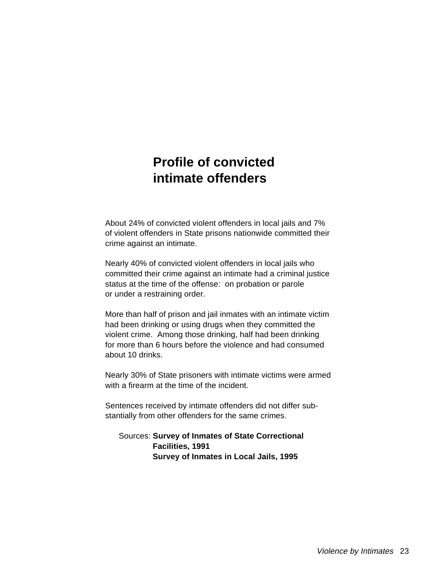## **Profile of convicted intimate offenders**

About 24% of convicted violent offenders in local jails and 7% of violent offenders in State prisons nationwide committed their crime against an intimate.

Nearly 40% of convicted violent offenders in local jails who committed their crime against an intimate had a criminal justice status at the time of the offense: on probation or parole or under a restraining order.

More than half of prison and jail inmates with an intimate victim had been drinking or using drugs when they committed the violent crime. Among those drinking, half had been drinking for more than 6 hours before the violence and had consumed about 10 drinks.

Nearly 30% of State prisoners with intimate victims were armed with a firearm at the time of the incident.

Sentences received by intimate offenders did not differ substantially from other offenders for the same crimes.

 Sources: **Survey of Inmates of State Correctional Facilities, 1991 Survey of Inmates in Local Jails, 1995**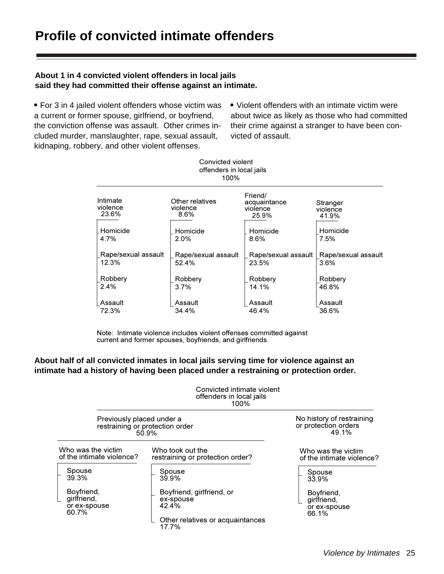#### **About 1 in 4 convicted violent offenders in local jails said they had committed their offense against an intimate.**

 For 3 in 4 jailed violent offenders whose victim was a current or former spouse, girlfriend, or boyfriend, the conviction offense was assault. Other crimes included murder, manslaughter, rape, sexual assault, kidnaping, robbery, and other violent offenses.

• Violent offenders with an intimate victim were about twice as likely as those who had committed their crime against a stranger to have been convicted of assault.

| Convicted violent<br>offenders in local jails<br>100% |                                     |                                              |                               |  |
|-------------------------------------------------------|-------------------------------------|----------------------------------------------|-------------------------------|--|
| Intimate<br>violence<br>23.6%                         | Other relatives<br>violence<br>8.6% | Friend/<br>acquaintance<br>violence<br>25.9% | Stranger<br>violence<br>41.9% |  |
| Homicide                                              | Homicide                            | Homicide                                     | Homicide                      |  |
| 4.7%                                                  | $2.0\%$                             | 8.6%                                         | 7.5%                          |  |
| Rape/sexual assault<br>12.3%                          | Rape/sexual assault<br>52.4%        | Rape/sexual assault<br>23.5%                 | Rape/sexual assault<br>3.6%   |  |
| Robbery                                               | Robbery                             | Robbery                                      | Robbery                       |  |
| 2.4%                                                  | 3.7%                                | 14.1%                                        | 46.8%                         |  |
| Assault                                               | Assault                             | Assault                                      | Assault                       |  |
| 72.3%                                                 | 34.4%                               | 46.4%                                        | 36.6%                         |  |

Note: Intimate violence includes violent offenses committed against current and former spouses, boyfriends, and girlfriends.

#### **About half of all convicted inmates in local jails serving time for violence against an intimate had a history of having been placed under a restraining or protection order.**

|                                                    | Convicted intimate violent<br>offenders in local jails<br>100% |                                                            |
|----------------------------------------------------|----------------------------------------------------------------|------------------------------------------------------------|
| Previously placed under a                          | restraining or protection order<br>50.9%                       | No history of restraining<br>or protection orders<br>49.1% |
| Who was the victim<br>of the intimate violence?    | Who took out the<br>restraining or protection order?           | Who was the victim<br>of the intimate violence?            |
| Spouse<br>39.3%                                    | Spouse<br>39.9%                                                | Spouse<br>33.9%                                            |
| Boyfriend,<br>girlfriend,<br>or ex-spouse<br>60.7% | Boyfriend, girlfriend, or<br>ex-spouse<br>42.4%                | Boyfriend,<br>girlfriend,<br>or ex-spouse<br>66.1%         |
|                                                    | Other relatives or acquaintances<br>17.7%                      |                                                            |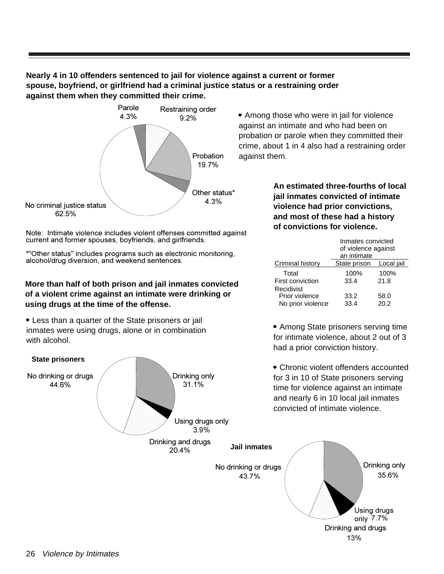**Nearly 4 in 10 offenders sentenced to jail for violence against a current or former spouse, boyfriend, or girlfriend had a criminal justice status or a restraining order against them when they committed their crime.**



Note: Intimate violence includes violent offenses committed against current and former spouses, boyfriends, and girlfriends.

\*"Other status" includes programs such as electronic monitoring, alcohol/drug diversion, and weekend sentences.

#### **More than half of both prison and jail inmates convicted of a violent crime against an intimate were drinking or using drugs at the time of the offense.**

 Less than a quarter of the State prisoners or jail inmates were using drugs, alone or in combination with alcohol.



 Among those who were in jail for violence against an intimate and who had been on probation or parole when they committed their crime, about 1 in 4 also had a restraining order against them.

> **An estimated three-fourths of local jail inmates convicted of intimate violence had prior convictions, and most of these had a history of convictions for violence.**

|                                                       | Inmates convicted<br>of violence against<br>an intimate |              |  |
|-------------------------------------------------------|---------------------------------------------------------|--------------|--|
| Criminal history                                      | State prison                                            | Local jail   |  |
| Total                                                 | 100%                                                    | 100%         |  |
| First conviction                                      | 33.4                                                    | 21.8         |  |
| $Recidivist$ —<br>Prior violence<br>No prior violence | 33.2<br>33.4                                            | 58.0<br>20.2 |  |

• Among State prisoners serving time for intimate violence, about 2 out of 3 had a prior conviction history.

13%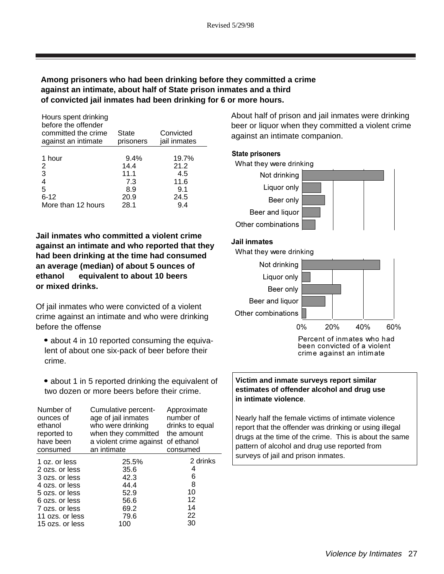#### **Among prisoners who had been drinking before they committed a crime against an intimate, about half of State prison inmates and a third of convicted jail inmates had been drinking for 6 or more hours.**

| Hours spent drinking<br>before the offender<br>committed the crime<br>against an intimate | State<br>prisoners | Convicted<br>jail inmates |
|-------------------------------------------------------------------------------------------|--------------------|---------------------------|
| 1 hour                                                                                    | $9.4\%$            | 19.7%                     |
| 2                                                                                         | 14.4               | 21.2                      |
| 3                                                                                         | 11.1               | 4.5                       |
| 4                                                                                         | 7.3                | 11.6                      |
| 5                                                                                         | 8.9                | 9.1                       |
| $6 - 12$                                                                                  | 20.9               | 24.5                      |
| More than 12 hours                                                                        | 28.1               | 9.4                       |

**Jail inmates who committed a violent crime against an intimate and who reported that they had been drinking at the time had consumed an average (median) of about 5 ounces of ethanol equivalent to about 10 beers or mixed drinks.**

Of jail inmates who were convicted of a violent crime against an intimate and who were drinking before the offense

- about 4 in 10 reported consuming the equivalent of about one six-pack of beer before their crime.
- about 1 in 5 reported drinking the equivalent of two dozen or more beers before their crime.

| Number of<br>ounces of<br>ethanol<br>reported to<br>have been<br>consumed | Cumulative percent-<br>age of jail inmates<br>who were drinking<br>when they committed<br>a violent crime against of ethanol<br>an intimate | Approximate<br>number of<br>drinks to equal<br>the amount<br>consumed |
|---------------------------------------------------------------------------|---------------------------------------------------------------------------------------------------------------------------------------------|-----------------------------------------------------------------------|
| 1 oz. or less                                                             | 25.5%                                                                                                                                       | 2 drinks                                                              |
| 2 ozs. or less                                                            | 35.6                                                                                                                                        | 4                                                                     |
| 3 ozs. or less                                                            | 42.3                                                                                                                                        | 6                                                                     |
| 4 ozs. or less                                                            | 44.4                                                                                                                                        | 8                                                                     |
| 5 ozs. or less                                                            | 52.9                                                                                                                                        | 10                                                                    |
| 6 ozs. or less                                                            | 56.6                                                                                                                                        | 12                                                                    |
| 7 ozs. or less                                                            | 69.2                                                                                                                                        | 14                                                                    |
| 11 ozs. or less                                                           | 79.6                                                                                                                                        | 22                                                                    |
| 15 ozs. or less                                                           | 100                                                                                                                                         | 30                                                                    |

About half of prison and jail inmates were drinking beer or liquor when they committed a violent crime against an intimate companion.

#### State prisoners



#### Jail inmates

What they were drinking



Percent of inmates who had been convicted of a violent crime against an intimate

#### **Victim and inmate surveys report similar estimates of offender alcohol and drug use in intimate violence**.

Nearly half the female victims of intimate violence report that the offender was drinking or using illegal drugs at the time of the crime. This is about the same pattern of alcohol and drug use reported from surveys of jail and prison inmates.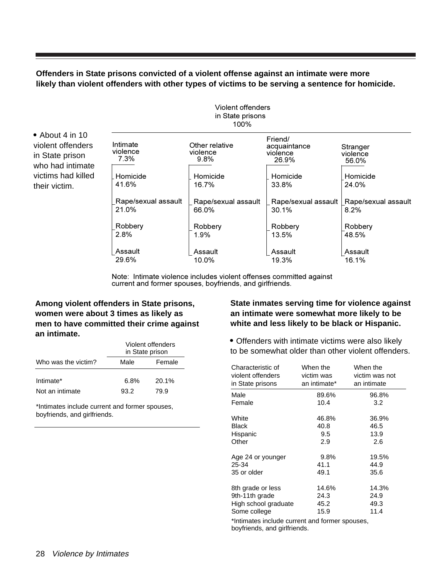#### **Offenders in State prisons convicted of a violent offense against an intimate were more likely than violent offenders with other types of victims to be serving a sentence for homicide.**

| in State prisons<br>100%     |                                    |                                              |                               |
|------------------------------|------------------------------------|----------------------------------------------|-------------------------------|
| Intimate<br>violence<br>7.3% | Other relative<br>violence<br>9.8% | Friend/<br>acquaintance<br>violence<br>26.9% | Stranger<br>violence<br>56.0% |
| Homicide                     | Homicide                           | Homicide                                     | Homicide                      |
| 41.6%                        | 16.7%                              | 33.8%                                        | 24.0%                         |
| Rape/sexual assault          | Rape/sexual assault                | Rape/sexual assault                          | Rape/sexual assault           |
| 21.0%                        | 66.0%                              | 30.1%                                        | 8.2%                          |
| Robbery                      | Robbery                            | Robbery                                      | Robbery                       |
| 2.8%                         | 1.9%                               | 13.5%                                        | 48.5%                         |
| Assault                      | Assault                            | Assault                                      | Assault                       |
| 29.6%                        | 10.0%                              | 19.3%                                        | 16.1%                         |

Violent offenders

Note: Intimate violence includes violent offenses committed against current and former spouses, boyfriends, and girlfriends.

#### **Among violent offenders in State prisons, women were about 3 times as likely as men to have committed their crime against an intimate.**

• About 4 in 10 violent offenders in State prison who had intimate victims had killed their victim.

|                     | Violent offenders<br>in State prison |        |  |
|---------------------|--------------------------------------|--------|--|
| Who was the victim? | Male                                 | Female |  |
| Intimate*           | 6.8%                                 | 20.1%  |  |
| Not an intimate     | 93.2                                 | 79.9   |  |

\*Intimates include current and former spouses, boyfriends, and girlfriends.

#### **State inmates serving time for violence against an intimate were somewhat more likely to be white and less likely to be black or Hispanic.**

 Offenders with intimate victims were also likely to be somewhat older than other violent offenders.

| Characteristic of<br>violent offenders<br>in State prisons | When the<br>victim was<br>an intimate* | When the<br>victim was not<br>an intimate |  |  |
|------------------------------------------------------------|----------------------------------------|-------------------------------------------|--|--|
| Male                                                       | 89.6%                                  | 96.8%                                     |  |  |
| Female                                                     | 10.4                                   | 3.2                                       |  |  |
| White                                                      | 46.8%                                  | 36.9%                                     |  |  |
| Black                                                      | 40.8                                   | 46.5                                      |  |  |
| Hispanic                                                   | 9.5                                    | 13.9                                      |  |  |
| Other                                                      | 2.9                                    | 2.6                                       |  |  |
| Age 24 or younger                                          | 9.8%                                   | 19.5%                                     |  |  |
| 25-34                                                      | 41.1                                   | 44.9                                      |  |  |
| 35 or older                                                | 49.1                                   | 35.6                                      |  |  |
| 8th grade or less                                          | 14.6%                                  | 14.3%                                     |  |  |
| 9th-11th grade                                             | 24.3                                   | 24.9                                      |  |  |
| High school graduate                                       | 45.2                                   | 49.3                                      |  |  |
| Some college                                               | 15.9                                   | 11.4                                      |  |  |
| thrimates include current and former spouses               |                                        |                                           |  |  |

a iorrner spouses, boyfriends, and girlfriends.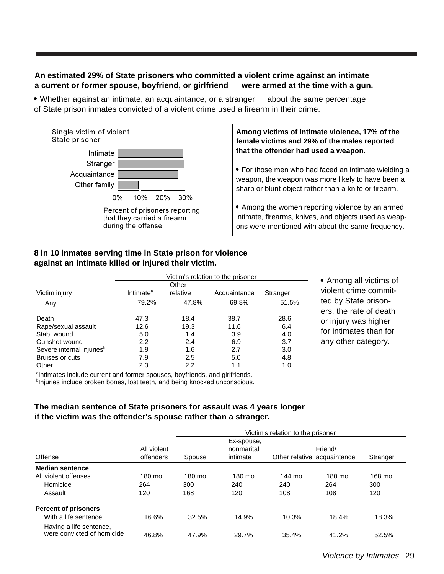#### **An estimated 29% of State prisoners who committed a violent crime against an intimate a current or former spouse, boyfriend, or girlfriend were armed at the time with a gun.**

• Whether against an intimate, an acquaintance, or a stranger - about the same percentage of State prison inmates convicted of a violent crime used a firearm in their crime.



**Among victims of intimate violence, 17% of the female victims and 29% of the males reported that the offender had used a weapon.**

• For those men who had faced an intimate wielding a weapon, the weapon was more likely to have been a sharp or blunt object rather than a knife or firearm.

 Among the women reporting violence by an armed intimate, firearms, knives, and objects used as weapons were mentioned with about the same frequency.

#### **8 in 10 inmates serving time in State prison for violence against an intimate killed or injured their victim.**

|                                       | Victim's relation to the prisoner |          |              |          |  |
|---------------------------------------|-----------------------------------|----------|--------------|----------|--|
|                                       | Other                             |          |              |          |  |
| Victim injury                         | Intimate <sup>a</sup>             | relative | Acquaintance | Stranger |  |
| Any                                   | 79.2%                             | 47.8%    | 69.8%        | 51.5%    |  |
| Death                                 | 47.3                              | 18.4     | 38.7         | 28.6     |  |
| Rape/sexual assault                   | 12.6                              | 19.3     | 11.6         | 6.4      |  |
| Stab wound                            | 5.0                               | 1.4      | 3.9          | 4.0      |  |
| Gunshot wound                         | 2.2                               | 2.4      | 6.9          | 3.7      |  |
| Severe internal injuries <sup>b</sup> | 1.9                               | 1.6      | 2.7          | 3.0      |  |
| Bruises or cuts                       | 7.9                               | 2.5      | 5.0          | 4.8      |  |
| Other                                 | 2.3                               | 2.2      | 1.1          | 1.0      |  |

 Among all victims of violent crime committed by State prisoners, the rate of death or injury was higher for intimates than for any other category.

<sup>a</sup>Intimates include current and former spouses, boyfriends, and girlfriends. <sup>b</sup>Injuries include broken bones, lost teeth, and being knocked unconscious.

#### **The median sentence of State prisoners for assault was 4 years longer if the victim was the offender's spouse rather than a stranger.**

|                                                       | Victim's relation to the prisoner |        |                                      |        |                                        |          |
|-------------------------------------------------------|-----------------------------------|--------|--------------------------------------|--------|----------------------------------------|----------|
| Offense                                               | All violent<br>offenders          | Spouse | Ex-spouse,<br>nonmarital<br>intimate |        | Friend/<br>Other relative acquaintance | Stranger |
| <b>Median sentence</b>                                |                                   |        |                                      |        |                                        |          |
| All violent offenses                                  | 180 mo                            | 180 mo | 180 mo                               | 144 mo | 180 mo                                 | 168 mo   |
| Homicide                                              | 264                               | 300    | 240                                  | 240    | 264                                    | 300      |
| Assault                                               | 120                               | 168    | 120                                  | 108    | 108                                    | 120      |
| <b>Percent of prisoners</b>                           |                                   |        |                                      |        |                                        |          |
| With a life sentence                                  | 16.6%                             | 32.5%  | 14.9%                                | 10.3%  | 18.4%                                  | 18.3%    |
| Having a life sentence,<br>were convicted of homicide | 46.8%                             | 47.9%  | 29.7%                                | 35.4%  | 41.2%                                  | 52.5%    |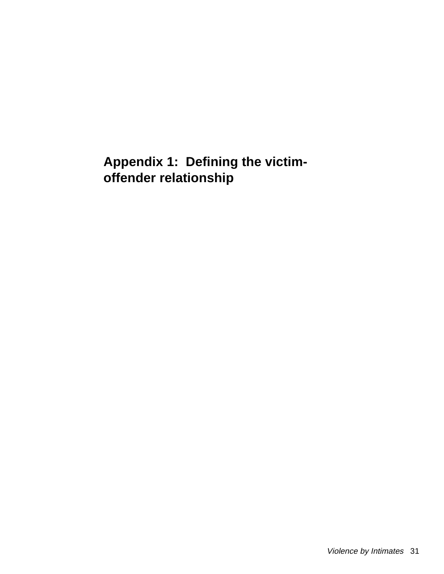## **Appendix 1: Defining the victimoffender relationship**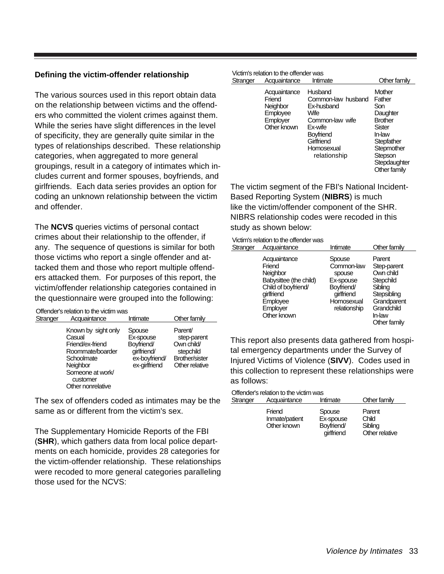#### **Defining the victim-offender relationship**

The various sources used in this report obtain data on the relationship between victims and the offenders who committed the violent crimes against them. While the series have slight differences in the level of specificity, they are generally quite similar in the types of relationships described. These relationship categories, when aggregated to more general groupings, result in a category of intimates which includes current and former spouses, boyfriends, and girlfriends. Each data series provides an option for coding an unknown relationship between the victim and offender.

The **NCVS** queries victims of personal contact crimes about their relationship to the offender, if any. The sequence of questions is similar for both those victims who report a single offender and attacked them and those who report multiple offenders attacked them. For purposes of this report, the victim/offender relationship categories contained in the questionnaire were grouped into the following:

|          | Offender's relation to the victim was-                                                                                                               |                                                                                    |                                                                                              |
|----------|------------------------------------------------------------------------------------------------------------------------------------------------------|------------------------------------------------------------------------------------|----------------------------------------------------------------------------------------------|
| Stranger | Acquaintance                                                                                                                                         | Intimate                                                                           | Other family                                                                                 |
|          | Known by sight only<br>Casual<br>Friend/ex-friend<br>Roommate/boarder<br>Schoolmate<br>Neighbor<br>Someone at work/<br>customer<br>Other nonrelative | Spouse<br>Ex-spouse<br>Boyfriend/<br>girlfriend/<br>ex-boyfriend/<br>ex-girlfriend | Parent/<br>step-parent<br>Own child/<br>stepchild<br><b>Brother/sister</b><br>Other relative |

The sex of offenders coded as intimates may be the same as or different from the victim's sex.

The Supplementary Homicide Reports of the FBI (**SHR**), which gathers data from local police departments on each homicide, provides 28 categories for the victim-offender relationship. These relationships were recoded to more general categories paralleling those used for the NCVS:

|          | Victim's relation to the offender was-                                    |                                                                                                                                            |                                                                                                                                                  |
|----------|---------------------------------------------------------------------------|--------------------------------------------------------------------------------------------------------------------------------------------|--------------------------------------------------------------------------------------------------------------------------------------------------|
| Stranger | Acquaintance                                                              | Intimate                                                                                                                                   | Other family                                                                                                                                     |
|          | Acquaintance<br>Friend<br>Neighbor<br>Employee<br>Employer<br>Other known | Husband<br>Common-law husband<br>Ex-husband<br>Wife<br>Common-law wife<br>Ex-wife<br>Boyfriend<br>Girlfriend<br>Homosexual<br>relationship | Mother<br>Father<br>Son<br>Daughter<br><b>Brother</b><br>Sister<br>In-law<br>Stepfather<br>Stepmother<br>Stepson<br>Stepdaughter<br>Other family |

The victim segment of the FBI's National Incident-Based Reporting System (**NIBRS**) is much like the victim/offender component of the SHR. NIBRS relationship codes were recoded in this study as shown below:

#### Victim's relation to the offender was

| Stranger | Acquaintance                                                                                                                             | Intimate                                                                                              | Other family                                                                                                                     |
|----------|------------------------------------------------------------------------------------------------------------------------------------------|-------------------------------------------------------------------------------------------------------|----------------------------------------------------------------------------------------------------------------------------------|
|          | Acquaintance<br>Friend<br>Neighbor<br>Babysittee (the child)<br>Child of boyfriend/<br>girlfriend<br>Employee<br>Employer<br>Other known | Spouse<br>Common-law<br>spouse<br>Ex-spouse<br>Boyfriend/<br>girlfriend<br>Homosexual<br>relationship | Parent<br>Step-parent<br>Own child<br>Stepchild<br>Sibling<br>Stepsibling<br>Grandparent<br>Grandchild<br>In-law<br>Other family |
|          |                                                                                                                                          |                                                                                                       |                                                                                                                                  |

This report also presents data gathered from hospital emergency departments under the Survey of Injured Victims of Violence (**SIVV**). Codes used in this collection to represent these relationships were as follows:

|             | Offender's relation to the victim was- |              |
|-------------|----------------------------------------|--------------|
| $C$ tronoor | $\Lambda$ councirchange                | $l$ ntimente |

| Stranger | Acquaintance                            | Intimate                                        | Other family                                 |
|----------|-----------------------------------------|-------------------------------------------------|----------------------------------------------|
|          | Friend<br>Inmate/patient<br>Other known | Spouse<br>Ex-spouse<br>Boyfriend/<br>girlfriend | Parent<br>Child<br>Sibling<br>Other relative |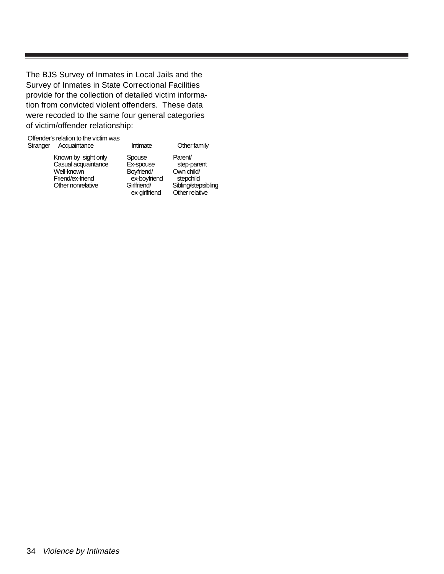The BJS Survey of Inmates in Local Jails and the Survey of Inmates in State Correctional Facilities provide for the collection of detailed victim information from convicted violent offenders. These data were recoded to the same four general categories of victim/offender relationship:

|          | Offender's relation to the victim was-                                                            |                                                                                   |                                                                                            |
|----------|---------------------------------------------------------------------------------------------------|-----------------------------------------------------------------------------------|--------------------------------------------------------------------------------------------|
| Stranger | Acquaintance                                                                                      | Intimate                                                                          | Other family                                                                               |
|          | Known by sight only<br>Casual acquaintance<br>Well-known<br>Friend/ex-friend<br>Other nonrelative | Spouse<br>Ex-spouse<br>Boyfriend/<br>ex-boyfriend<br>Girlfriend/<br>ex-girlfriend | Parent/<br>step-parent<br>Own child/<br>stepchild<br>Sibling/stepsibling<br>Other relative |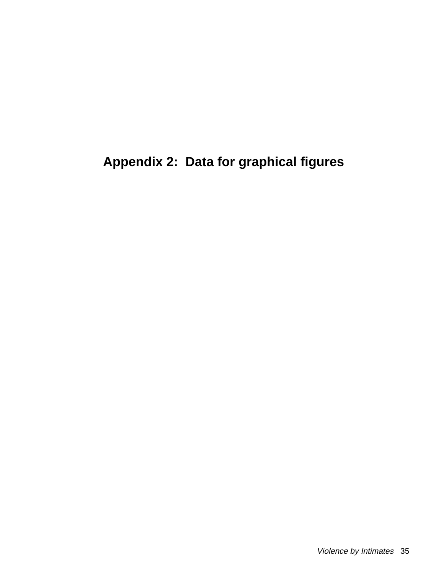## **Appendix 2: Data for graphical figures**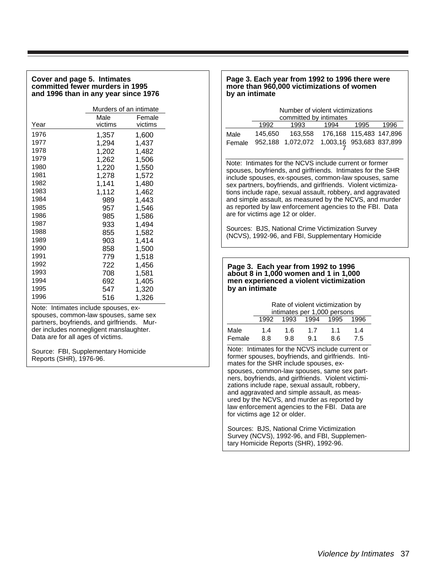#### **Cover and page 5. Intimates committed fewer murders in 1995 and 1996 than in any year since 1976**

|      | Murders of an intimate |         |  |  |
|------|------------------------|---------|--|--|
|      | Male                   | Female  |  |  |
| Year | victims                | victims |  |  |
| 1976 | 1,357                  | 1,600   |  |  |
| 1977 | 1,294                  | 1,437   |  |  |
| 1978 | 1,202                  | 1,482   |  |  |
| 1979 | 1,262                  | 1,506   |  |  |
| 1980 | 1,220                  | 1,550   |  |  |
| 1981 | 1,278                  | 1,572   |  |  |
| 1982 | 1,141                  | 1,480   |  |  |
| 1983 | 1,112                  | 1,462   |  |  |
| 1984 | 989                    | 1,443   |  |  |
| 1985 | 957                    | 1,546   |  |  |
| 1986 | 985                    | 1,586   |  |  |
| 1987 | 933                    | 1,494   |  |  |
| 1988 | 855                    | 1,582   |  |  |
| 1989 | 903                    | 1,414   |  |  |
| 1990 | 858                    | 1,500   |  |  |
| 1991 | 779                    | 1,518   |  |  |
| 1992 | 722                    | 1,456   |  |  |
| 1993 | 708                    | 1,581   |  |  |
| 1994 | 692                    | 1,405   |  |  |
| 1995 | 547                    | 1,320   |  |  |
| 1996 | 516                    | 1,326   |  |  |

Note: Intimates include spouses, exspouses, common-law spouses, same sex partners, boyfriends, and girlfriends. Murder includes nonnegligent manslaughter. Data are for all ages of victims.

Source: FBI, Supplementary Homicide Reports (SHR), 1976-96.

#### **Page 3. Each year from 1992 to 1996 there were more than 960,000 victimizations of women by an intimate**

|        | Number of violent victimizations<br>committed by intimates |                                            |                         |      |      |
|--------|------------------------------------------------------------|--------------------------------------------|-------------------------|------|------|
|        | 1992                                                       | 1993                                       | 1994                    | 1995 | 1996 |
| Male   | 145.650                                                    | 163.558                                    | 176,168 115,483 147,896 |      |      |
| Female |                                                            | 952,188 1,072,072 1,003,16 953,683 837,899 |                         |      |      |

Note: Intimates for the NCVS include current or former spouses, boyfriends, and girlfriends. Intimates for the SHR include spouses, ex-spouses, common-law spouses, same sex partners, boyfriends, and girlfriends. Violent victimizations include rape, sexual assault, robbery, and aggravated and simple assault, as measured by the NCVS, and murder as reported by law enforcement agencies to the FBI. Data are for victims age 12 or older.

Sources: BJS, National Crime Victimization Survey (NCVS), 1992-96, and FBI, Supplementary Homicide

#### **Page 3. Each year from 1992 to 1996 about 8 in 1,000 women and 1 in 1,000 men experienced a violent victimization by an intimate**

|        | Rate of violent victimization by<br>intimates per 1,000 persons |      |      |      |      |  |
|--------|-----------------------------------------------------------------|------|------|------|------|--|
|        | 1992                                                            | 1993 | 1994 | 1995 | 1996 |  |
| Male   | 1.4                                                             | 1.6  | 17   | 11   | 14   |  |
| Female | 8.8                                                             | 9.8  | 9.1  | 86   | 7.5  |  |
|        |                                                                 |      |      |      |      |  |

Note: Intimates for the NCVS include current or former spouses, boyfriends, and girlfriends. Intimates for the SHR include spouses, exspouses, common-law spouses, same sex partners, boyfriends, and girlfriends. Violent victimizations include rape, sexual assault, robbery, and aggravated and simple assault, as measured by the NCVS, and murder as reported by law enforcement agencies to the FBI. Data are for victims age 12 or older.

Sources: BJS, National Crime Victimization Survey (NCVS), 1992-96, and FBI, Supplementary Homicide Reports (SHR), 1992-96.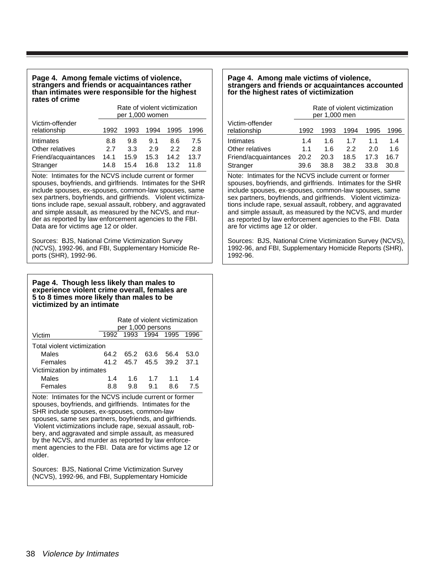#### **Page 4. Among female victims of violence, strangers and friends or acquaintances rather than intimates were responsible for the highest rates of crime**

|                                 | Rate of violent victimization<br>per 1,000 women |      |      |      |      |
|---------------------------------|--------------------------------------------------|------|------|------|------|
| Victim-offender<br>relationship | 1992                                             | 1993 | 1994 | 1995 | 1996 |
| Intimates                       | 8.8                                              | 9.8  | 9.1  | 8.6  | 7.5  |
| Other relatives                 | 27                                               | 3.3  | 2.9  | 22   | 2.8  |
| Friend/acquaintances            | 14.1                                             | 15.9 | 15.3 | 14 2 | 13.7 |
| Stranger                        | 14.8                                             | 15.4 | 16.8 | 13.2 | 11 8 |

Note: Intimates for the NCVS include current or former spouses, boyfriends, and girlfriends. Intimates for the SHR include spouses, ex-spouses, common-law spouses, same sex partners, boyfriends, and girlfriends. Violent victimizations include rape, sexual assault, robbery, and aggravated and simple assault, as measured by the NCVS, and murder as reported by law enforcement agencies to the FBI. Data are for victims age 12 or older.

Sources: BJS, National Crime Victimization Survey (NCVS), 1992-96, and FBI, Supplementary Homicide Reports (SHR), 1992-96.

#### **Page 4. Though less likely than males to experience violent crime overall, females are 5 to 8 times more likely than males to be victimized by an intimate**

|                             | Rate of violent victimization<br>per 1,000 persons |      |                     |      |      |
|-----------------------------|----------------------------------------------------|------|---------------------|------|------|
| Victim                      | 1992                                               |      | 1993 1994 1995      |      | 1996 |
| Total violent victimization |                                                    |      |                     |      |      |
| Males                       | 64 2                                               | 65.2 | 63.6                | 56.4 | 53.0 |
| Females                     | 41.2                                               |      | 45.7 45.5 39.2 37.1 |      |      |
| Victimization by intimates  |                                                    |      |                     |      |      |
| Males                       | 14                                                 | 1.6  | 1.7                 | 11   | 14   |
| Females                     | 8.8                                                | 9.8  | 91                  | 8 6  | 75   |

Note: Intimates for the NCVS include current or former spouses, boyfriends, and girlfriends. Intimates for the SHR include spouses, ex-spouses, common-law spouses, same sex partners, boyfriends, and girlfriends. Violent victimizations include rape, sexual assault, robbery, and aggravated and simple assault, as measured by the NCVS, and murder as reported by law enforcement agencies to the FBI. Data are for victims age 12 or older.

Sources: BJS, National Crime Victimization Survey (NCVS), 1992-96, and FBI, Supplementary Homicide

#### **Page 4. Among male victims of violence, strangers and friends or acquaintances accounted for the highest rates of victimization**

|                      | Rate of violent victimization<br>per 1,000 men |      |      |      |      |
|----------------------|------------------------------------------------|------|------|------|------|
| Victim-offender      |                                                |      |      |      |      |
| relationship         | 1992                                           | 1993 | 1994 | 1995 | 1996 |
| Intimates            | 1.4                                            | 1.6  | 17   | 11   | 1.4  |
| Other relatives      | 11                                             | 1 6  | 22   | 2 በ  | 1.6  |
| Friend/acquaintances | 20.2                                           | 20.3 | 18.5 | 17.3 | 16.7 |
| Stranger             | 39.6                                           | 38.8 | 38.2 | 33.8 | 30 R |

Note: Intimates for the NCVS include current or former spouses, boyfriends, and girlfriends. Intimates for the SHR include spouses, ex-spouses, common-law spouses, same sex partners, boyfriends, and girlfriends. Violent victimizations include rape, sexual assault, robbery, and aggravated and simple assault, as measured by the NCVS, and murder as reported by law enforcement agencies to the FBI. Data are for victims age 12 or older.

Sources: BJS, National Crime Victimization Survey (NCVS), 1992-96, and FBI, Supplementary Homicide Reports (SHR), 1992-96.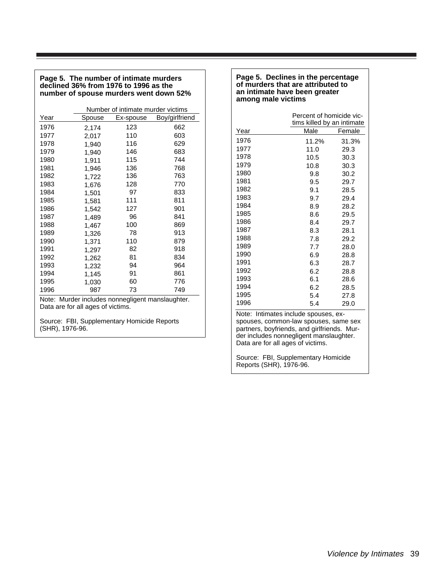#### **Page 5. The number of intimate murders declined 36% from 1976 to 1996 as the number of spouse murders went down 52%**

|      | Number of intimate murder victims |           |                |  |  |
|------|-----------------------------------|-----------|----------------|--|--|
| Year | Spouse                            | Ex-spouse | Boy/girlfriend |  |  |
| 1976 | 2,174                             | 123       | 662            |  |  |
| 1977 | 2,017                             | 110       | 603            |  |  |
| 1978 | 1,940                             | 116       | 629            |  |  |
| 1979 | 1,940                             | 146       | 683            |  |  |
| 1980 | 1,911                             | 115       | 744            |  |  |
| 1981 | 1,946                             | 136       | 768            |  |  |
| 1982 | 1,722                             | 136       | 763            |  |  |
| 1983 | 1,676                             | 128       | 770            |  |  |
| 1984 | 1,501                             | 97        | 833            |  |  |
| 1985 | 1,581                             | 111       | 811            |  |  |
| 1986 | 1,542                             | 127       | 901            |  |  |
| 1987 | 1,489                             | 96        | 841            |  |  |
| 1988 | 1,467                             | 100       | 869            |  |  |
| 1989 | 1,326                             | 78        | 913            |  |  |
| 1990 | 1,371                             | 110       | 879            |  |  |
| 1991 | 1,297                             | 82        | 918            |  |  |
| 1992 | 1,262                             | 81        | 834            |  |  |
| 1993 | 1,232                             | 94        | 964            |  |  |
| 1994 | 1,145                             | 91        | 861            |  |  |
| 1995 | 1,030                             | 60        | 776            |  |  |
| 1996 | 987                               | 73        | 749            |  |  |

Note: Murder includes nonnegligent manslaughter. Data are for all ages of victims.

Source: FBI, Supplementary Homicide Reports (SHR), 1976-96.

#### **Page 5. Declines in the percentage of murders that are attributed to an intimate have been greater among male victims**

|      | Percent of homicide vic-<br>tims killed by an intimate |        |  |
|------|--------------------------------------------------------|--------|--|
| Year | Male                                                   | Female |  |
| 1976 | 11.2%                                                  | 31.3%  |  |
| 1977 | 11.0                                                   | 29.3   |  |
| 1978 | 10.5                                                   | 30.3   |  |
| 1979 | 10.8                                                   | 30.3   |  |
| 1980 | 9.8                                                    | 30.2   |  |
| 1981 | 9.5                                                    | 29.7   |  |
| 1982 | 9.1                                                    | 28.5   |  |
| 1983 | 9.7                                                    | 29.4   |  |
| 1984 | 8.9                                                    | 28.2   |  |
| 1985 | 8.6                                                    | 29.5   |  |
| 1986 | 8.4                                                    | 29.7   |  |
| 1987 | 8.3                                                    | 28.1   |  |
| 1988 | 7.8                                                    | 29.2   |  |
| 1989 | 7.7                                                    | 28.0   |  |
| 1990 | 6.9                                                    | 28.8   |  |
| 1991 | 6.3                                                    | 28.7   |  |
| 1992 | 6.2                                                    | 28.8   |  |
| 1993 | 6.1                                                    | 28.6   |  |
| 1994 | 6.2                                                    | 28.5   |  |
| 1995 | 5.4                                                    | 27.8   |  |
| 1996 | 5.4                                                    | 29.0   |  |

Note: Intimates include spouses, exspouses, common-law spouses, same sex partners, boyfriends, and girlfriends. Murder includes nonnegligent manslaughter. Data are for all ages of victims.

Source: FBI, Supplementary Homicide Reports (SHR), 1976-96.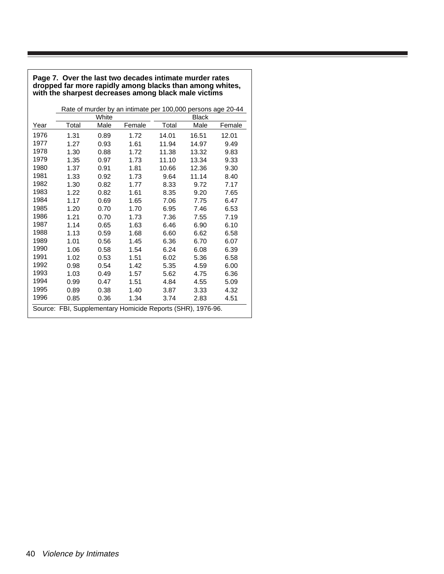#### **Page 7. Over the last two decades intimate murder rates dropped far more rapidly among blacks than among whites, with the sharpest decreases among black male victims**

|      |       |       | Rate of murder by an intimate per 100,000 persons age 20-44 |       |              |        |
|------|-------|-------|-------------------------------------------------------------|-------|--------------|--------|
|      |       | White |                                                             |       | <b>Black</b> |        |
| Year | Total | Male  | Female                                                      | Total | Male         | Female |
| 1976 | 1.31  | 0.89  | 1.72                                                        | 14.01 | 16.51        | 12.01  |
| 1977 | 1.27  | 0.93  | 1.61                                                        | 11.94 | 14.97        | 9.49   |
| 1978 | 1.30  | 0.88  | 1.72                                                        | 11.38 | 13.32        | 9.83   |
| 1979 | 1.35  | 0.97  | 1.73                                                        | 11.10 | 13.34        | 9.33   |
| 1980 | 1.37  | 0.91  | 1.81                                                        | 10.66 | 12.36        | 9.30   |
| 1981 | 1.33  | 0.92  | 1.73                                                        | 9.64  | 11.14        | 8.40   |
| 1982 | 1.30  | 0.82  | 1.77                                                        | 8.33  | 9.72         | 7.17   |
| 1983 | 1.22  | 0.82  | 1.61                                                        | 8.35  | 9.20         | 7.65   |
| 1984 | 1.17  | 0.69  | 1.65                                                        | 7.06  | 7.75         | 6.47   |
| 1985 | 1.20  | 0.70  | 1.70                                                        | 6.95  | 7.46         | 6.53   |
| 1986 | 1.21  | 0.70  | 1.73                                                        | 7.36  | 7.55         | 7.19   |
| 1987 | 1.14  | 0.65  | 1.63                                                        | 6.46  | 6.90         | 6.10   |
| 1988 | 1.13  | 0.59  | 1.68                                                        | 6.60  | 6.62         | 6.58   |
| 1989 | 1.01  | 0.56  | 1.45                                                        | 6.36  | 6.70         | 6.07   |
| 1990 | 1.06  | 0.58  | 1.54                                                        | 6.24  | 6.08         | 6.39   |
| 1991 | 1.02  | 0.53  | 1.51                                                        | 6.02  | 5.36         | 6.58   |
| 1992 | 0.98  | 0.54  | 1.42                                                        | 5.35  | 4.59         | 6.00   |
| 1993 | 1.03  | 0.49  | 1.57                                                        | 5.62  | 4.75         | 6.36   |
| 1994 | 0.99  | 0.47  | 1.51                                                        | 4.84  | 4.55         | 5.09   |
| 1995 | 0.89  | 0.38  | 1.40                                                        | 3.87  | 3.33         | 4.32   |
| 1996 | 0.85  | 0.36  | 1.34                                                        | 3.74  | 2.83         | 4.51   |
|      |       |       | Source: FBI, Supplementary Homicide Reports (SHR), 1976-96. |       |              |        |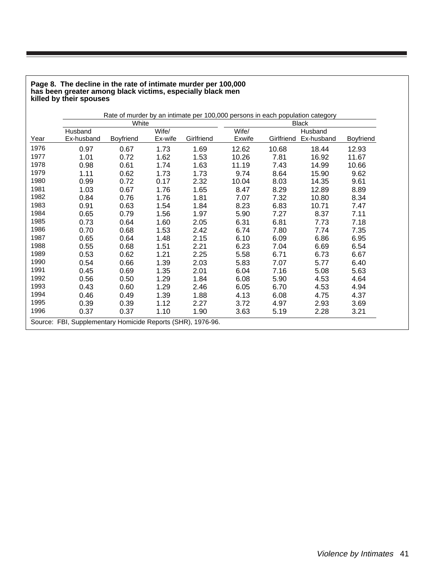#### **Page 8. The decline in the rate of intimate murder per 100,000 has been greater among black victims, especially black men killed by their spouses**

|      | Rate of murder by an intimate per 100,000 persons in each population category |                  |         |            |        |            |              |                  |
|------|-------------------------------------------------------------------------------|------------------|---------|------------|--------|------------|--------------|------------------|
|      |                                                                               | White            |         |            |        |            | <b>Black</b> |                  |
|      | Husband                                                                       |                  | Wife/   |            | Wife/  |            | Husband      |                  |
| Year | Ex-husband                                                                    | <b>Boyfriend</b> | Ex-wife | Girlfriend | Exwife | Girlfriend | Ex-husband   | <b>Boyfriend</b> |
| 1976 | 0.97                                                                          | 0.67             | 1.73    | 1.69       | 12.62  | 10.68      | 18.44        | 12.93            |
| 1977 | 1.01                                                                          | 0.72             | 1.62    | 1.53       | 10.26  | 7.81       | 16.92        | 11.67            |
| 1978 | 0.98                                                                          | 0.61             | 1.74    | 1.63       | 11.19  | 7.43       | 14.99        | 10.66            |
| 1979 | 1.11                                                                          | 0.62             | 1.73    | 1.73       | 9.74   | 8.64       | 15.90        | 9.62             |
| 1980 | 0.99                                                                          | 0.72             | 0.17    | 2.32       | 10.04  | 8.03       | 14.35        | 9.61             |
| 1981 | 1.03                                                                          | 0.67             | 1.76    | 1.65       | 8.47   | 8.29       | 12.89        | 8.89             |
| 1982 | 0.84                                                                          | 0.76             | 1.76    | 1.81       | 7.07   | 7.32       | 10.80        | 8.34             |
| 1983 | 0.91                                                                          | 0.63             | 1.54    | 1.84       | 8.23   | 6.83       | 10.71        | 7.47             |
| 1984 | 0.65                                                                          | 0.79             | 1.56    | 1.97       | 5.90   | 7.27       | 8.37         | 7.11             |
| 1985 | 0.73                                                                          | 0.64             | 1.60    | 2.05       | 6.31   | 6.81       | 7.73         | 7.18             |
| 1986 | 0.70                                                                          | 0.68             | 1.53    | 2.42       | 6.74   | 7.80       | 7.74         | 7.35             |
| 1987 | 0.65                                                                          | 0.64             | 1.48    | 2.15       | 6.10   | 6.09       | 6.86         | 6.95             |
| 1988 | 0.55                                                                          | 0.68             | 1.51    | 2.21       | 6.23   | 7.04       | 6.69         | 6.54             |
| 1989 | 0.53                                                                          | 0.62             | 1.21    | 2.25       | 5.58   | 6.71       | 6.73         | 6.67             |
| 1990 | 0.54                                                                          | 0.66             | 1.39    | 2.03       | 5.83   | 7.07       | 5.77         | 6.40             |
| 1991 | 0.45                                                                          | 0.69             | 1.35    | 2.01       | 6.04   | 7.16       | 5.08         | 5.63             |
| 1992 | 0.56                                                                          | 0.50             | 1.29    | 1.84       | 6.08   | 5.90       | 4.53         | 4.64             |
| 1993 | 0.43                                                                          | 0.60             | 1.29    | 2.46       | 6.05   | 6.70       | 4.53         | 4.94             |
| 1994 | 0.46                                                                          | 0.49             | 1.39    | 1.88       | 4.13   | 6.08       | 4.75         | 4.37             |
| 1995 | 0.39                                                                          | 0.39             | 1.12    | 2.27       | 3.72   | 4.97       | 2.93         | 3.69             |
| 1996 | 0.37                                                                          | 0.37             | 1.10    | 1.90       | 3.63   | 5.19       | 2.28         | 3.21             |
|      | Source: FBI, Supplementary Homicide Reports (SHR), 1976-96.                   |                  |         |            |        |            |              |                  |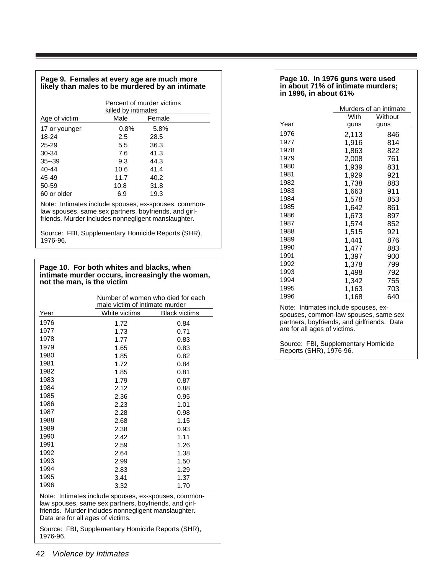#### **Page 9. Females at every age are much more likely than males to be murdered by an intimate**

|               | Percent of murder victims<br>killed by intimates |        |  |
|---------------|--------------------------------------------------|--------|--|
| Age of victim | Male                                             | Female |  |
| 17 or younger | 0.8%                                             | 5.8%   |  |
| 18-24         | 2.5                                              | 28.5   |  |
| $25 - 29$     | 5.5                                              | 36.3   |  |
| 30-34         | 7.6                                              | 41.3   |  |
| $35 - 39$     | 9.3                                              | 44.3   |  |
| 40-44         | 10.6                                             | 41.4   |  |
| 45-49         | 11.7                                             | 40.2   |  |
| 50-59         | 10.8                                             | 31.8   |  |
| 60 or older   | 6.9                                              | 19.3   |  |

Note: Intimates include spouses, ex-spouses, commonlaw spouses, same sex partners, boyfriends, and girlfriends. Murder includes nonnegligent manslaughter.

Source: FBI, Supplementary Homicide Reports (SHR), 1976-96.

#### **Page 10. For both whites and blacks, when intimate murder occurs, increasingly the woman, not the man, is the victim**

|                                                                                                                                                                                                           | Number of women who died for each<br>male victim of intimate murder |                      |  |
|-----------------------------------------------------------------------------------------------------------------------------------------------------------------------------------------------------------|---------------------------------------------------------------------|----------------------|--|
| Year                                                                                                                                                                                                      | White victims                                                       | <b>Black victims</b> |  |
| 1976                                                                                                                                                                                                      | 1.72                                                                | 0.84                 |  |
| 1977                                                                                                                                                                                                      | 1.73                                                                | 0.71                 |  |
| 1978                                                                                                                                                                                                      | 1.77                                                                | 0.83                 |  |
| 1979                                                                                                                                                                                                      | 1.65                                                                | 0.83                 |  |
| 1980                                                                                                                                                                                                      | 1.85                                                                | 0.82                 |  |
| 1981                                                                                                                                                                                                      | 1.72                                                                | 0.84                 |  |
| 1982                                                                                                                                                                                                      | 1.85                                                                | 0.81                 |  |
| 1983                                                                                                                                                                                                      | 1.79                                                                | 0.87                 |  |
| 1984                                                                                                                                                                                                      | 2.12                                                                | 0.88                 |  |
| 1985                                                                                                                                                                                                      | 2.36                                                                | 0.95                 |  |
| 1986                                                                                                                                                                                                      | 2.23                                                                | 1.01                 |  |
| 1987                                                                                                                                                                                                      | 2.28                                                                | 0.98                 |  |
| 1988                                                                                                                                                                                                      | 2.68                                                                | 1.15                 |  |
| 1989                                                                                                                                                                                                      | 2.38                                                                | 0.93                 |  |
| 1990                                                                                                                                                                                                      | 2.42                                                                | 1.11                 |  |
| 1991                                                                                                                                                                                                      | 2.59                                                                | 1.26                 |  |
| 1992                                                                                                                                                                                                      | 2.64                                                                | 1.38                 |  |
| 1993                                                                                                                                                                                                      | 2.99                                                                | 1.50                 |  |
| 1994                                                                                                                                                                                                      | 2.83                                                                | 1.29                 |  |
| 1995                                                                                                                                                                                                      | 3.41                                                                | 1.37                 |  |
| 1996                                                                                                                                                                                                      | 3.32                                                                | 1.70                 |  |
| Note: Intimates include spouses, ex-spouses, common-<br>law spouses, same sex partners, boyfriends, and girl-<br>friends. Murder includes nonnegligent manslaughter.<br>Data are for all ages of victims. |                                                                     |                      |  |

Source: FBI, Supplementary Homicide Reports (SHR), 1976-96.

#### **Page 10. In 1976 guns were used in about 71% of intimate murders; in 1996, in about 61%**

|       |                                | Murders of an intimate |         |  |
|-------|--------------------------------|------------------------|---------|--|
|       |                                | With                   | Without |  |
| Year  |                                | guns                   | guns    |  |
| 1976  |                                | 2,113                  | 846     |  |
| 1977  |                                | 1,916                  | 814     |  |
| 1978  |                                | 1,863                  | 822     |  |
| 1979  |                                | 2,008                  | 761     |  |
| 1980  |                                | 1,939                  | 831     |  |
| 1981  |                                | 1,929                  | 921     |  |
| 1982  |                                | 1,738                  | 883     |  |
| 1983  |                                | 1,663                  | 911     |  |
| 1984  |                                | 1,578                  | 853     |  |
| 1985  |                                | 1,642                  | 861     |  |
| 1986  |                                | 1,673                  | 897     |  |
| 1987  |                                | 1,574                  | 852     |  |
| 1988  |                                | 1,515                  | 921     |  |
| 1989  |                                | 1,441                  | 876     |  |
| 1990  |                                | 1,477                  | 883     |  |
| 1991  |                                | 1,397                  | 900     |  |
| 1992  |                                | 1,378                  | 799     |  |
| 1993  |                                | 1,498                  | 792     |  |
| 1994  |                                | 1,342                  | 755     |  |
| 1995  |                                | 1,163                  | 703     |  |
| 1996  |                                | 1,168                  | 640     |  |
| Note: | Intimates include spouses, ex- |                        |         |  |

Note: Intimates include spouses, exspouses, common-law spouses, same sex partners, boyfriends, and girlfriends. Data are for all ages of victims.

Source: FBI, Supplementary Homicide Reports (SHR), 1976-96.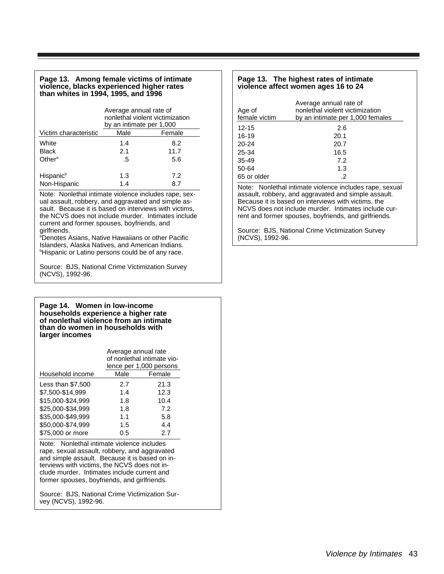#### **Page 13. Among female victims of intimate violence, blacks experienced higher rates than whites in 1994, 1995, and 1996**

|                       | Average annual rate of<br>nonlethal violent victimization<br>by an intimate per 1,000 |        |  |
|-----------------------|---------------------------------------------------------------------------------------|--------|--|
| Victim characteristic | Male                                                                                  | Female |  |
| White                 | 1.4                                                                                   | 8.2    |  |
| Black                 | 2.1                                                                                   | 11.7   |  |
| Other <sup>a</sup>    | .5                                                                                    | 5.6    |  |
|                       |                                                                                       |        |  |
| Hispanic <sup>b</sup> | 1.3                                                                                   | 7.2    |  |
| Non-Hispanic          | 1.4                                                                                   | 8.7    |  |

Note: Nonlethal intimate violence includes rape, sexual assault, robbery, and aggravated and simple assault. Because it is based on interviews with victims, the NCVS does not include murder. Intimates include current and former spouses, boyfriends, and girlfriends.

a Denotes Asians, Native Hawaiians or other Pacific Islanders, Alaska Natives, and American Indians. <sup>b</sup>Hispanic or Latino persons could be of any race.

Source: BJS, National Crime Victimization Survey (NCVS), 1992-96.

#### **Page 14. Women in low-income households experience a higher rate of nonlethal violence from an intimate than do women in households with larger incomes**

|                   | Average annual rate<br>of nonlethal intimate vio-<br>lence per 1,000 persons |        |
|-------------------|------------------------------------------------------------------------------|--------|
| Household income  | Male                                                                         | Female |
| Less than \$7,500 | 2.7                                                                          | 21.3   |
| \$7,500-\$14,999  | 1.4                                                                          | 12.3   |
| \$15,000-\$24.999 | 1.8                                                                          | 10.4   |
| \$25,000-\$34,999 | 1.8                                                                          | 7.2    |
| \$35,000-\$49,999 | 1.1                                                                          | 5.8    |
| \$50,000-\$74.999 | 1.5                                                                          | 4.4    |
| \$75,000 or more  | 0.5                                                                          | 2.7    |

Note: Nonlethal intimate violence includes rape, sexual assault, robbery, and aggravated and simple assault. Because it is based on interviews with victims, the NCVS does not include murder. Intimates include current and former spouses, boyfriends, and girlfriends.

Source: BJS, National Crime Victimization Survey (NCVS), 1992-96.

#### **Page 13. The highest rates of intimate violence affect women ages 16 to 24**

| Age of<br>female victim | Average annual rate of<br>nonlethal violent victimization<br>by an intimate per 1,000 females |
|-------------------------|-----------------------------------------------------------------------------------------------|
| $12 - 15$               | 2.6                                                                                           |
| 16-19                   | 20.1                                                                                          |
| $20 - 24$               | 20.7                                                                                          |
| 25-34                   | 16.5                                                                                          |
| $35-49$                 | 7.2                                                                                           |
| 50-64                   | 1.3                                                                                           |
| 65 or older             | .2                                                                                            |

Note: Nonlethal intimate violence includes rape, sexual assault, robbery, and aggravated and simple assault. Because it is based on interviews with victims, the NCVS does not include murder. Intimates include current and former spouses, boyfriends, and girlfriends.

Source: BJS, National Crime Victimization Survey (NCVS), 1992-96.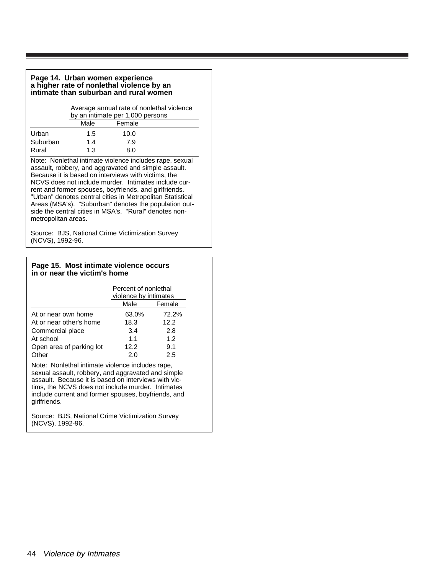#### **Page 14. Urban women experience a higher rate of nonlethal violence by an intimate than suburban and rural women**

Average annual rate of nonlethal violence by an intimate per 1,000 persons Female

|          | ππαισ | ι σιιιαισ |  |
|----------|-------|-----------|--|
| Urban    | 1.5   | 10.0      |  |
| Suburban | 1.4   | 7.9       |  |
| Rural    | 1.3   | 8.0       |  |

Note: Nonlethal intimate violence includes rape, sexual assault, robbery, and aggravated and simple assault. Because it is based on interviews with victims, the NCVS does not include murder. Intimates include current and former spouses, boyfriends, and girlfriends. "Urban" denotes central cities in Metropolitan Statistical Areas (MSA's). "Suburban" denotes the population outside the central cities in MSA's. "Rural" denotes nonmetropolitan areas.

Source: BJS, National Crime Victimization Survey (NCVS), 1992-96.

#### **Page 15. Most intimate violence occurs in or near the victim's home**

|                          | Percent of nonlethal<br>violence by intimates |        |
|--------------------------|-----------------------------------------------|--------|
|                          | Male                                          | Female |
| At or near own home      | 63.0%                                         | 72.2%  |
| At or near other's home  | 18.3                                          | 12.2   |
| Commercial place         | 3.4                                           | 2.8    |
| At school                | 1.1                                           | 1.2    |
| Open area of parking lot | 12.2                                          | 9.1    |
| Other                    | 2.0                                           | 2.5    |

Note: Nonlethal intimate violence includes rape, sexual assault, robbery, and aggravated and simple assault. Because it is based on interviews with victims, the NCVS does not include murder. Intimates include current and former spouses, boyfriends, and girlfriends.

Source: BJS, National Crime Victimization Survey (NCVS), 1992-96.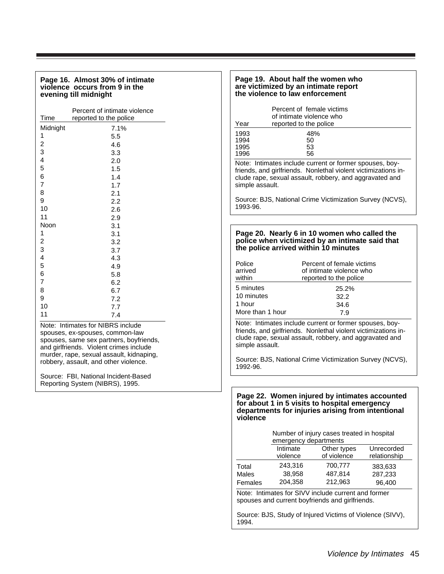#### **Page 16. Almost 30% of intimate violence occurs from 9 in the evening till midnight**

| Time                    | Percent of intimate violence<br>reported to the police |
|-------------------------|--------------------------------------------------------|
|                         |                                                        |
| Midnight                | 7.1%                                                   |
| 1                       | 5.5                                                    |
| 2                       | 4.6                                                    |
| 3                       | 3.3                                                    |
| $\overline{\mathbf{r}}$ | 2.0                                                    |
| 5                       | 1.5                                                    |
| 6                       | 1.4                                                    |
| 7                       | 1.7                                                    |
| 8                       | 2.1                                                    |
| 9                       | 2.2                                                    |
| 10                      | 2.6                                                    |
| 11                      | 2.9                                                    |
| Noon                    | 3.1                                                    |
| 1                       | 3.1                                                    |
| $\overline{\mathbf{c}}$ | 3.2                                                    |
| 3                       | 3.7                                                    |
| $\overline{\mathbf{4}}$ | 4.3                                                    |
| 5                       | 4.9                                                    |
| 6                       | 5.8                                                    |
| 7                       | 6.2                                                    |
| 8                       | 6.7                                                    |
| 9                       | 7.2                                                    |
| 10                      | 7.7                                                    |
| 11                      | 7.4                                                    |
|                         |                                                        |

Note: Intimates for NIBRS include spouses, ex-spouses, common-law spouses, same sex partners, boyfriends, and girlfriends. Violent crimes include murder, rape, sexual assault, kidnaping, robbery, assault, and other violence.

Source: FBI, National Incident-Based Reporting System (NIBRS), 1995.

#### **Page 19. About half the women who are victimized by an intimate report the violence to law enforcement**

|      | Percent of female victims<br>of intimate violence who |
|------|-------------------------------------------------------|
| Year | reported to the police                                |
| 1993 | 48%                                                   |
| 1994 | 50                                                    |
| 1995 | 53                                                    |
| 1996 | 56                                                    |
|      | $\blacksquare$                                        |

Note: Intimates include current or former spouses, boyfriends, and girlfriends. Nonlethal violent victimizations include rape, sexual assault, robbery, and aggravated and simple assault.

Source: BJS, National Crime Victimization Survey (NCVS), 1993-96.

#### **Page 20. Nearly 6 in 10 women who called the police when victimized by an intimate said that the police arrived within 10 minutes**

| Police<br>arrived<br>within $-$ | Percent of female victims<br>of intimate violence who<br>reported to the police |
|---------------------------------|---------------------------------------------------------------------------------|
| 5 minutes                       | 25.2%                                                                           |
| 10 minutes                      | 32.2                                                                            |
| 1 hour                          | 34.6                                                                            |
| More than 1 hour                | 7.9                                                                             |

Note: Intimates include current or former spouses, boyfriends, and girlfriends. Nonlethal violent victimizations include rape, sexual assault, robbery, and aggravated and simple assault.

Source: BJS, National Crime Victimization Survey (NCVS), 1992-96.

#### **Page 22. Women injured by intimates accounted for about 1 in 5 visits to hospital emergency departments for injuries arising from intentional violence**

| Number of injury cases treated in hospital |
|--------------------------------------------|
| emergency departments                      |

| Intimate<br>violence | Other types<br>of violence | Unrecorded<br>relationship |
|----------------------|----------------------------|----------------------------|
| 243,316              | 700.777                    | 383,633                    |
| 38,958               | 487.814                    | 287,233                    |
| 204.358              | 212,963                    | 96,400                     |
|                      |                            |                            |

Note: Intimates for SIVV include current and former spouses and current boyfriends and girlfriends.

Source: BJS, Study of Injured Victims of Violence (SIVV), 1994.